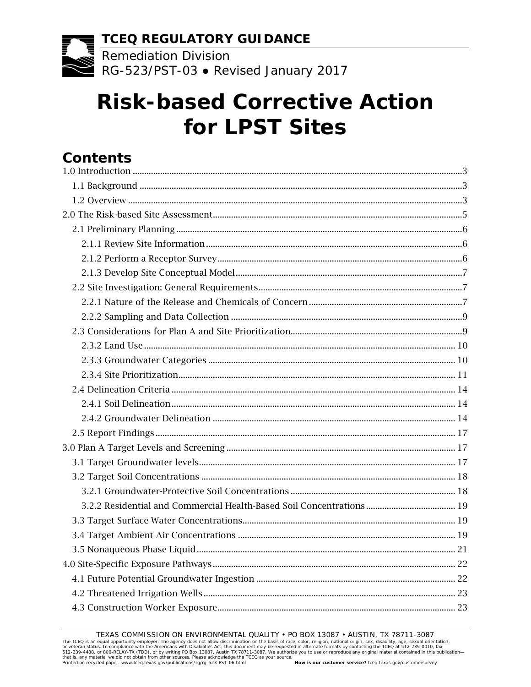**TCEQ REGULATORY GUIDANCE**

 $\frac{12222}{8}$  Remediation Division RG-523/PST-03 • Revised January 2017

# **Risk-based Corrective Action for LPST Sites**

# **Contents**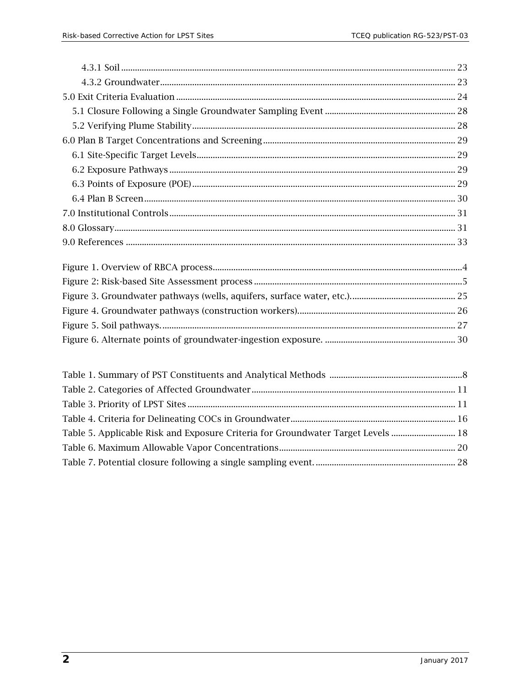| Table 5. Applicable Risk and Exposure Criteria for Groundwater Target Levels  18 |  |
|----------------------------------------------------------------------------------|--|
|                                                                                  |  |
|                                                                                  |  |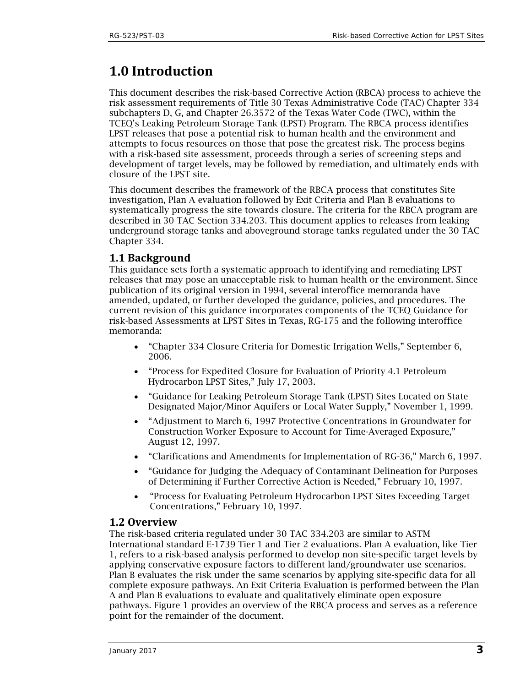# <span id="page-2-0"></span>**1.0 Introduction**

This document describes the risk-based Corrective Action (RBCA) process to achieve the risk assessment requirements of Title 30 Texas Administrative Code (TAC) Chapter 334 subchapters D, G, and Chapter 26.3572 of the Texas Water Code (TWC), within the TCEQ's Leaking Petroleum Storage Tank (LPST) Program. The RBCA process identifies LPST releases that pose a potential risk to human health and the environment and attempts to focus resources on those that pose the greatest risk. The process begins with a risk-based site assessment, proceeds through a series of screening steps and development of target levels, may be followed by remediation, and ultimately ends with closure of the LPST site.

This document describes the framework of the RBCA process that constitutes Site investigation, Plan A evaluation followed by Exit Criteria and Plan B evaluations to systematically progress the site towards closure. The criteria for the RBCA program are described in 30 TAC Section 334.203. This document applies to releases from leaking underground storage tanks and aboveground storage tanks regulated under the 30 TAC Chapter 334.

# <span id="page-2-1"></span>**1.1 Background**

This guidance sets forth a systematic approach to identifying and remediating LPST releases that may pose an unacceptable risk to human health or the environment. Since publication of its original version in 1994, several interoffice memoranda have amended, updated, or further developed the guidance, policies, and procedures. The current revision of this guidance incorporates components of the TCEQ Guidance for risk-based Assessments at LPST Sites in Texas, RG-175 and the following interoffice memoranda:

- "Chapter 334 Closure Criteria for Domestic Irrigation Wells," September 6, 2006.
- "Process for Expedited Closure for Evaluation of Priority 4.1 Petroleum Hydrocarbon LPST Sites," July 17, 2003.
- "Guidance for Leaking Petroleum Storage Tank (LPST) Sites Located on State Designated Major/Minor Aquifers or Local Water Supply," November 1, 1999.
- "Adjustment to March 6, 1997 Protective Concentrations in Groundwater for Construction Worker Exposure to Account for Time-Averaged Exposure," August 12, 1997.
- "Clarifications and Amendments for Implementation of RG-36," March 6, 1997.
- "Guidance for Judging the Adequacy of Contaminant Delineation for Purposes of Determining if Further Corrective Action is Needed," February 10, 1997.
- "Process for Evaluating Petroleum Hydrocarbon LPST Sites Exceeding Target Concentrations," February 10, 1997.

# <span id="page-2-2"></span>**1.2 Overview**

The risk-based criteria regulated under 30 TAC 334.203 are similar to ASTM International standard E-1739 Tier 1 and Tier 2 evaluations. Plan A evaluation, like Tier 1, refers to a risk-based analysis performed to develop non site-specific target levels by applying conservative exposure factors to different land/groundwater use scenarios. Plan B evaluates the risk under the same scenarios by applying site-specific data for all complete exposure pathways. An Exit Criteria Evaluation is performed between the Plan A and Plan B evaluations to evaluate and qualitatively eliminate open exposure pathways. Figure 1 provides an overview of the RBCA process and serves as a reference point for the remainder of the document.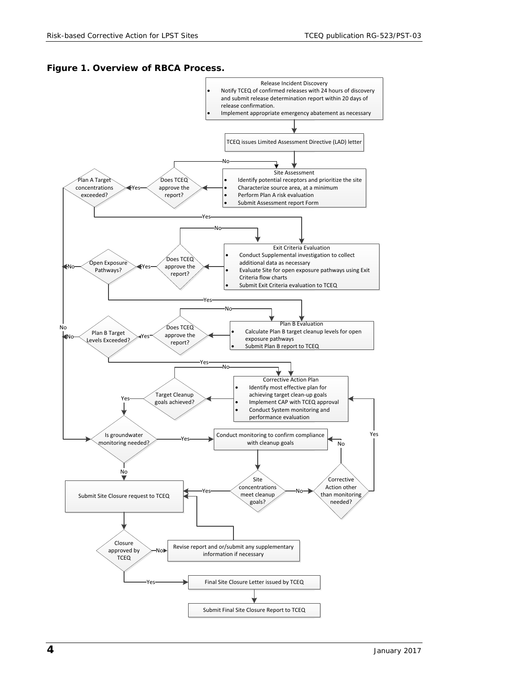#### <span id="page-3-0"></span>**Figure 1. Overview of RBCA Process.**

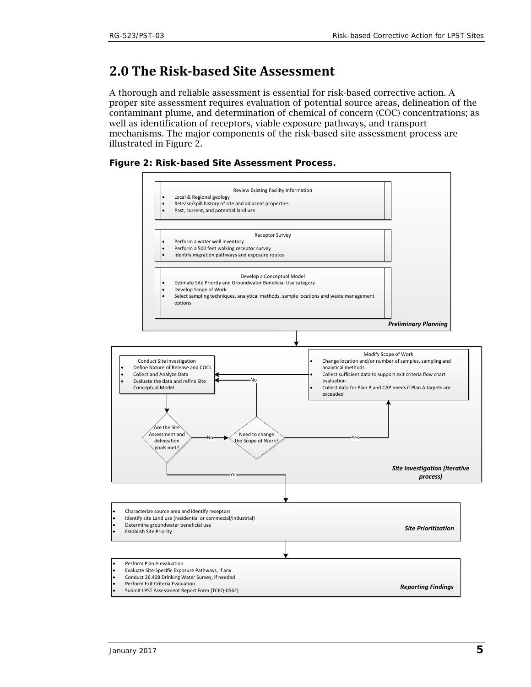# <span id="page-4-0"></span>**2.0 The Risk-based Site Assessment**

A thorough and reliable assessment is essential for risk-based corrective action. A proper site assessment requires evaluation of potential source areas, delineation of the contaminant plume, and determination of chemical of concern (COC) concentrations; as well as identification of receptors, viable exposure pathways, and transport mechanisms. The major components of the risk-based site assessment process are illustrated in Figure 2.

<span id="page-4-1"></span>

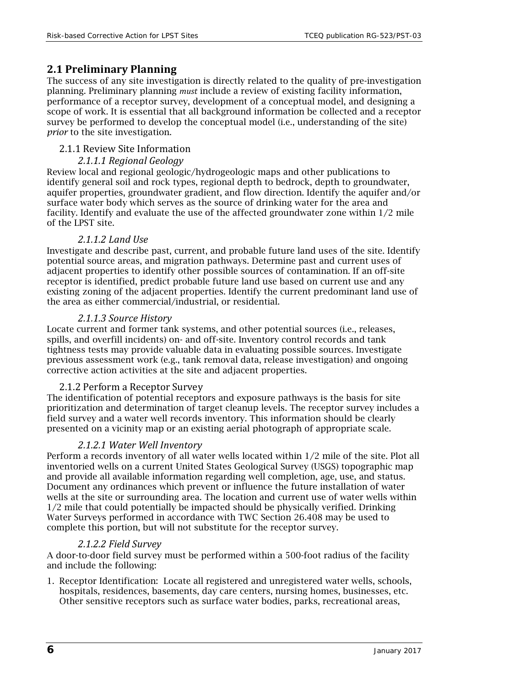# <span id="page-5-0"></span>**2.1 Preliminary Planning**

The success of any site investigation is directly related to the quality of pre-investigation planning. Preliminary planning *must* include a review of existing facility information, performance of a receptor survey, development of a conceptual model, and designing a scope of work. It is essential that all background information be collected and a receptor survey be performed to develop the conceptual model (i.e., understanding of the site) *prior* to the site investigation.

### <span id="page-5-1"></span>2.1.1 Review Site Information

### *2.1.1.1 Regional Geology*

Review local and regional geologic/hydrogeologic maps and other publications to identify general soil and rock types, regional depth to bedrock, depth to groundwater, aquifer properties, groundwater gradient, and flow direction. Identify the aquifer and/or surface water body which serves as the source of drinking water for the area and facility. Identify and evaluate the use of the affected groundwater zone within 1/2 mile of the LPST site.

### *2.1.1.2 Land Use*

Investigate and describe past, current, and probable future land uses of the site. Identify potential source areas, and migration pathways. Determine past and current uses of adjacent properties to identify other possible sources of contamination. If an off-site receptor is identified, predict probable future land use based on current use and any existing zoning of the adjacent properties. Identify the current predominant land use of the area as either commercial/industrial, or residential.

### *2.1.1.3 Source History*

Locate current and former tank systems, and other potential sources (i.e., releases, spills, and overfill incidents) on- and off-site. Inventory control records and tank tightness tests may provide valuable data in evaluating possible sources. Investigate previous assessment work (e.g., tank removal data, release investigation) and ongoing corrective action activities at the site and adjacent properties.

# <span id="page-5-2"></span>2.1.2 Perform a Receptor Survey

The identification of potential receptors and exposure pathways is the basis for site prioritization and determination of target cleanup levels. The receptor survey includes a field survey and a water well records inventory. This information should be clearly presented on a vicinity map or an existing aerial photograph of appropriate scale.

### *2.1.2.1 Water Well Inventory*

Perform a records inventory of all water wells located within 1/2 mile of the site. Plot all inventoried wells on a current United States Geological Survey (USGS) topographic map and provide all available information regarding well completion, age, use, and status. Document any ordinances which prevent or influence the future installation of water wells at the site or surrounding area. The location and current use of water wells within 1/2 mile that could potentially be impacted should be physically verified. Drinking Water Surveys performed in accordance with TWC Section 26.408 may be used to complete this portion, but will not substitute for the receptor survey.

### *2.1.2.2 Field Survey*

A door-to-door field survey must be performed within a 500-foot radius of the facility and include the following:

1. Receptor Identification: Locate all registered and unregistered water wells, schools, hospitals, residences, basements, day care centers, nursing homes, businesses, etc. Other sensitive receptors such as surface water bodies, parks, recreational areas,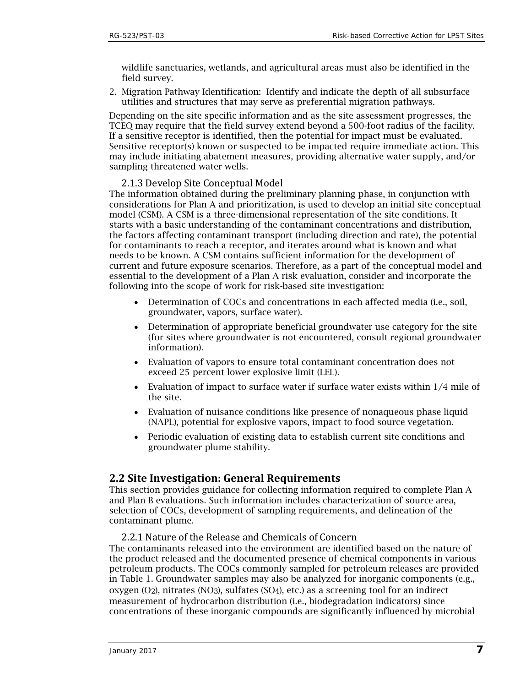wildlife sanctuaries, wetlands, and agricultural areas must also be identified in the field survey.

2. Migration Pathway Identification: Identify and indicate the depth of all subsurface utilities and structures that may serve as preferential migration pathways.

Depending on the site specific information and as the site assessment progresses, the TCEQ may require that the field survey extend beyond a 500-foot radius of the facility. If a sensitive receptor is identified, then the potential for impact must be evaluated. Sensitive receptor(s) known or suspected to be impacted require immediate action. This may include initiating abatement measures, providing alternative water supply, and/or sampling threatened water wells.

### 2.1.3 Develop Site Conceptual Model

<span id="page-6-0"></span>The information obtained during the preliminary planning phase, in conjunction with considerations for Plan A and prioritization, is used to develop an initial site conceptual model (CSM). A CSM is a three-dimensional representation of the site conditions. It starts with a basic understanding of the contaminant concentrations and distribution, the factors affecting contaminant transport (including direction and rate), the potential for contaminants to reach a receptor, and iterates around what is known and what needs to be known. A CSM contains sufficient information for the development of current and future exposure scenarios. Therefore, as a part of the conceptual model and essential to the development of a Plan A risk evaluation, consider and incorporate the following into the scope of work for risk-based site investigation:

- Determination of COCs and concentrations in each affected media (i.e., soil, groundwater, vapors, surface water).
- Determination of appropriate beneficial groundwater use category for the site (for sites where groundwater is not encountered, consult regional groundwater information).
- Evaluation of vapors to ensure total contaminant concentration does not exceed 25 percent lower explosive limit (LEL).
- Evaluation of impact to surface water if surface water exists within 1/4 mile of the site.
- Evaluation of nuisance conditions like presence of nonaqueous phase liquid (NAPL), potential for explosive vapors, impact to food source vegetation.
- Periodic evaluation of existing data to establish current site conditions and groundwater plume stability.

# <span id="page-6-1"></span>**2.2 Site Investigation: General Requirements**

This section provides guidance for collecting information required to complete Plan A and Plan B evaluations. Such information includes characterization of source area, selection of COCs, development of sampling requirements, and delineation of the contaminant plume.

2.2.1 Nature of the Release and Chemicals of Concern

<span id="page-6-2"></span>The contaminants released into the environment are identified based on the nature of the product released and the documented presence of chemical components in various petroleum products. The COCs commonly sampled for petroleum releases are provided in Table 1. Groundwater samples may also be analyzed for inorganic components (e.g., oxygen  $(O_2)$ , nitrates  $(NO_3)$ , sulfates  $(SO_4)$ , etc.) as a screening tool for an indirect measurement of hydrocarbon distribution (i.e., biodegradation indicators) since concentrations of these inorganic compounds are significantly influenced by microbial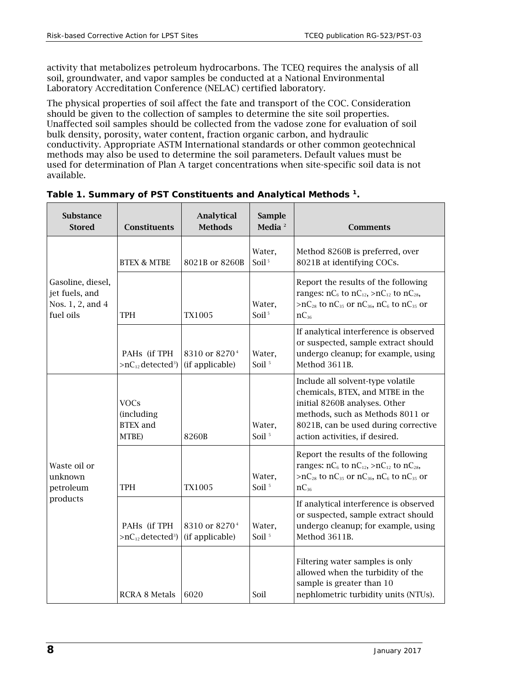activity that metabolizes petroleum hydrocarbons. The TCEQ requires the analysis of all soil, groundwater, and vapor samples be conducted at a National Environmental Laboratory Accreditation Conference (NELAC) certified laboratory.

The physical properties of soil affect the fate and transport of the COC. Consideration should be given to the collection of samples to determine the site soil properties. Unaffected soil samples should be collected from the vadose zone for evaluation of soil bulk density, porosity, water content, fraction organic carbon, and hydraulic conductivity. Appropriate ASTM International standards or other common geotechnical methods may also be used to determine the soil parameters. Default values must be used for determination of Plan A target concentrations when site-specific soil data is not available.

| <b>Substance</b><br><b>Stored</b>                                    | Constituents                                          | <b>Analytical</b><br><b>Methods</b>          | <b>Sample</b><br>Media <sup>2</sup> | <b>Comments</b>                                                                                                                                                                                                      |
|----------------------------------------------------------------------|-------------------------------------------------------|----------------------------------------------|-------------------------------------|----------------------------------------------------------------------------------------------------------------------------------------------------------------------------------------------------------------------|
|                                                                      | <b>BTEX &amp; MTBE</b>                                | 8021B or 8260B                               | Water,<br>Soil <sup>5</sup>         | Method 8260B is preferred, over<br>8021B at identifying COCs.                                                                                                                                                        |
| Gasoline, diesel,<br>jet fuels, and<br>Nos. 1, 2, and 4<br>fuel oils | <b>TPH</b>                                            | <b>TX1005</b>                                | Water,<br>Soil <sup>5</sup>         | Report the results of the following<br>ranges: $nC_6$ to $nC_{12}$ , > $nC_{12}$ to $nC_{28}$ ,<br>>nC <sub>28</sub> to nC <sub>35</sub> or nC <sub>36</sub> , nC <sub>6</sub> to nC <sub>35</sub> or<br>$nC_{36}$   |
|                                                                      | PAHs (if TPH<br>$>nC_{12}$ detected <sup>3</sup> )    | 8310 or 8270 <sup>4</sup><br>(if applicable) | Water,<br>Soil <sup>5</sup>         | If analytical interference is observed<br>or suspected, sample extract should<br>undergo cleanup; for example, using<br>Method 3611B.                                                                                |
|                                                                      | <b>VOCs</b><br>(including<br><b>BTEX</b> and<br>MTBE) | 8260B                                        | Water,<br>Soil <sup>5</sup>         | Include all solvent-type volatile<br>chemicals, BTEX, and MTBE in the<br>initial 8260B analyses. Other<br>methods, such as Methods 8011 or<br>8021B, can be used during corrective<br>action activities, if desired. |
| Waste oil or<br>unknown<br>petroleum                                 | <b>TPH</b>                                            | <b>TX1005</b>                                | Water,<br>Soil <sup>5</sup>         | Report the results of the following<br>ranges: $nC_6$ to $nC_{12}$ , > $nC_{12}$ to $nC_{28}$ ,<br>>nC <sub>28</sub> to nC <sub>35</sub> or nC <sub>36</sub> , nC <sub>6</sub> to nC <sub>35</sub> or<br>$nC_{36}$   |
| products                                                             | PAHs (if TPH<br>$>nC_{12}$ detected <sup>3</sup> )    | 8310 or 8270 <sup>4</sup><br>(if applicable) | Water,<br>Soil <sup>5</sup>         | If analytical interference is observed<br>or suspected, sample extract should<br>undergo cleanup; for example, using<br>Method 3611B.                                                                                |
|                                                                      | <b>RCRA 8 Metals</b>                                  | 6020                                         | Soil                                | Filtering water samples is only<br>allowed when the turbidity of the<br>sample is greater than 10<br>nephlometric turbidity units (NTUs).                                                                            |

#### <span id="page-7-0"></span>**Table 1. Summary of PST Constituents and Analytical Methods 1.**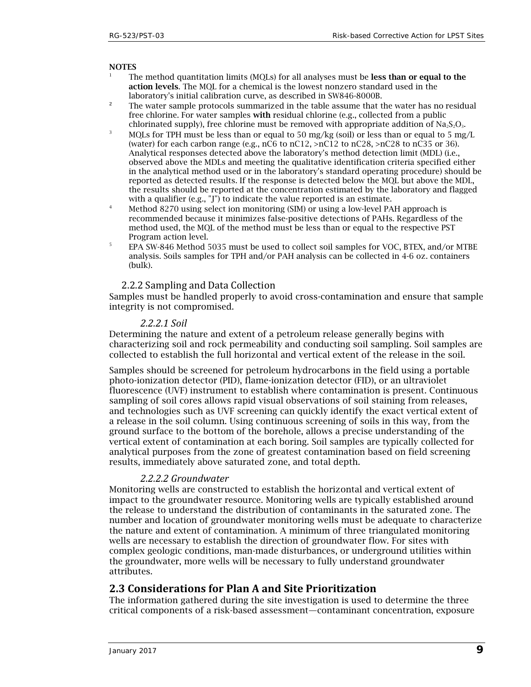#### **NOTES**

- The method quantitation limits (MQLs) for all analyses must be less than or equal to the action levels. The MQL for a chemical is the lowest nonzero standard used in the laboratory's initial calibration curve, as described in SW846-8000B.
- <sup>2</sup> The water sample protocols summarized in the table assume that the water has no residual free chlorine. For water samples with residual chlorine (e.g., collected from a public chlorinated supply), free chlorine must be removed with appropriate addition of  $Na_2S_2O_3$ .
- <sup>3</sup> MQLs for TPH must be less than or equal to 50 mg/kg (soil) or less than or equal to 5 mg/L (water) for each carbon range (e.g.,  $nC6$  to  $nC12$ ,  $>nC12$  to  $nC28$ ,  $>nC28$  to  $nC35$  or 36). Analytical responses detected above the laboratory's method detection limit (MDL) (i.e., observed above the MDLs and meeting the qualitative identification criteria specified either in the analytical method used or in the laboratory's standard operating procedure) should be reported as detected results. If the response is detected below the MQL but above the MDL, the results should be reported at the concentration estimated by the laboratory and flagged with a qualifier  $(e.g., 'J')$  to indicate the value reported is an estimate.
- <sup>4</sup> Method 8270 using select ion monitoring (SIM) or using a low-level PAH approach is recommended because it minimizes false-positive detections of PAHs. Regardless of the method used, the MQL of the method must be less than or equal to the respective PST Program action level.
- <sup>5</sup> EPA SW-846 Method 5035 must be used to collect soil samples for VOC, BTEX, and/or MTBE analysis. Soils samples for TPH and/or PAH analysis can be collected in 4-6 oz. containers (bulk).

#### 2.2.2 Sampling and Data Collection

<span id="page-8-0"></span>Samples must be handled properly to avoid cross-contamination and ensure that sample integrity is not compromised.

#### *2.2.2.1 Soil*

Determining the nature and extent of a petroleum release generally begins with characterizing soil and rock permeability and conducting soil sampling. Soil samples are collected to establish the full horizontal and vertical extent of the release in the soil.

Samples should be screened for petroleum hydrocarbons in the field using a portable photo-ionization detector (PID), flame-ionization detector (FID), or an ultraviolet fluorescence (UVF) instrument to establish where contamination is present. Continuous sampling of soil cores allows rapid visual observations of soil staining from releases, and technologies such as UVF screening can quickly identify the exact vertical extent of a release in the soil column. Using continuous screening of soils in this way, from the ground surface to the bottom of the borehole, allows a precise understanding of the vertical extent of contamination at each boring. Soil samples are typically collected for analytical purposes from the zone of greatest contamination based on field screening results, immediately above saturated zone, and total depth.

#### *2.2.2.2 Groundwater*

Monitoring wells are constructed to establish the horizontal and vertical extent of impact to the groundwater resource. Monitoring wells are typically established around the release to understand the distribution of contaminants in the saturated zone. The number and location of groundwater monitoring wells must be adequate to characterize the nature and extent of contamination. A minimum of three triangulated monitoring wells are necessary to establish the direction of groundwater flow. For sites with complex geologic conditions, man-made disturbances, or underground utilities within the groundwater, more wells will be necessary to fully understand groundwater attributes.

### <span id="page-8-1"></span>**2.3 Considerations for Plan A and Site Prioritization**

The information gathered during the site investigation is used to determine the three critical components of a risk-based assessment—contaminant concentration, exposure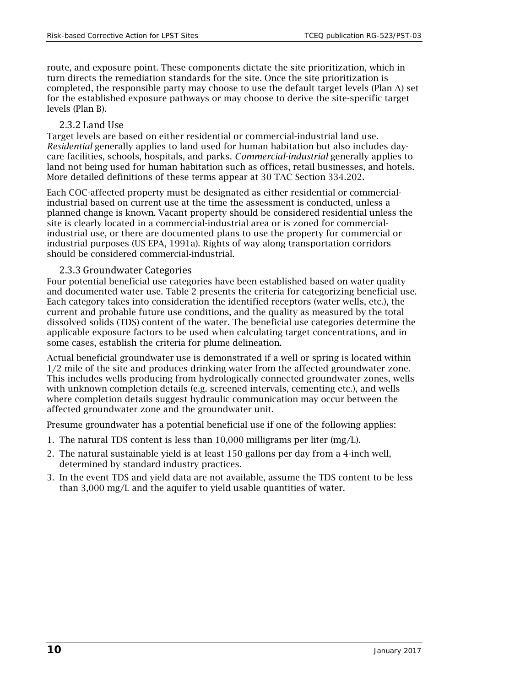route, and exposure point. These components dictate the site prioritization, which in turn directs the remediation standards for the site. Once the site prioritization is completed, the responsible party may choose to use the default target levels (Plan A) set for the established exposure pathways or may choose to derive the site-specific target levels (Plan B).

### 2.3.2 Land Use

<span id="page-9-0"></span>Target levels are based on either residential or commercial-industrial land use. *Residential* generally applies to land used for human habitation but also includes daycare facilities, schools, hospitals, and parks. *Commercial-industrial* generally applies to land not being used for human habitation such as offices, retail businesses, and hotels. More detailed definitions of these terms appear at 30 TAC Section 334.202.

Each COC-affected property must be designated as either residential or commercialindustrial based on current use at the time the assessment is conducted, unless a planned change is known. Vacant property should be considered residential unless the site is clearly located in a commercial-industrial area or is zoned for commercialindustrial use, or there are documented plans to use the property for commercial or industrial purposes (US EPA, 1991a). Rights of way along transportation corridors should be considered commercial-industrial.

### 2.3.3 Groundwater Categories

<span id="page-9-1"></span>Four potential beneficial use categories have been established based on water quality and documented water use. Table 2 presents the criteria for categorizing beneficial use. Each category takes into consideration the identified receptors (water wells, etc.), the current and probable future use conditions, and the quality as measured by the total dissolved solids (TDS) content of the water. The beneficial use categories determine the applicable exposure factors to be used when calculating target concentrations, and in some cases, establish the criteria for plume delineation.

Actual beneficial groundwater use is demonstrated if a well or spring is located within 1/2 mile of the site and produces drinking water from the affected groundwater zone. This includes wells producing from hydrologically connected groundwater zones, wells with unknown completion details (e.g. screened intervals, cementing etc.), and wells where completion details suggest hydraulic communication may occur between the affected groundwater zone and the groundwater unit.

Presume groundwater has a potential beneficial use if one of the following applies:

- 1. The natural TDS content is less than 10,000 milligrams per liter (mg/L).
- 2. The natural sustainable yield is at least 150 gallons per day from a 4-inch well, determined by standard industry practices.
- 3. In the event TDS and yield data are not available, assume the TDS content to be less than 3,000 mg/L and the aquifer to yield usable quantities of water.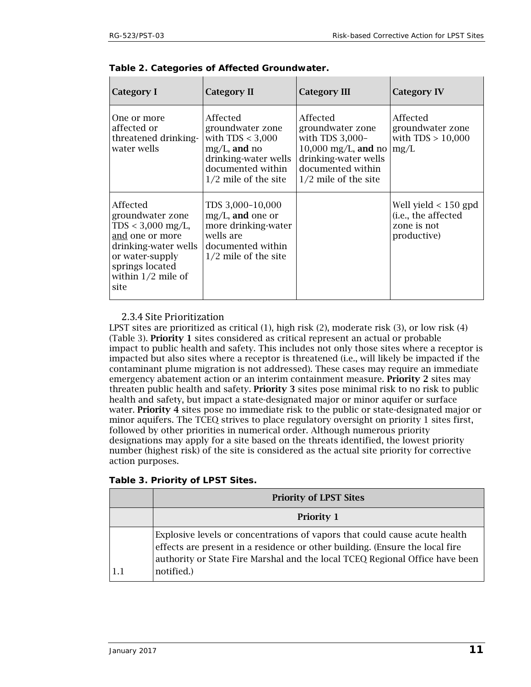| Category I                                                                                                                                                           | <b>Category II</b>                                                                                                                           | <b>Category III</b>                                                                                                                                      | <b>Category IV</b>                                                          |
|----------------------------------------------------------------------------------------------------------------------------------------------------------------------|----------------------------------------------------------------------------------------------------------------------------------------------|----------------------------------------------------------------------------------------------------------------------------------------------------------|-----------------------------------------------------------------------------|
| One or more<br>affected or<br>threatened drinking-<br>water wells                                                                                                    | Affected<br>groundwater zone<br>with $TDS < 3,000$<br>$mg/L$ , and no<br>drinking-water wells<br>documented within<br>$1/2$ mile of the site | Affected<br>groundwater zone<br>with TDS 3,000-<br>$10,000 \text{ mg/L}$ , and no<br>drinking-water wells<br>documented within<br>$1/2$ mile of the site | Affected<br>groundwater zone<br>with $TDS > 10,000$<br>mg/L                 |
| Affected<br>groundwater zone<br>$TDS < 3,000$ mg/L,<br>and one or more<br>drinking-water wells<br>or water-supply<br>springs located<br>within $1/2$ mile of<br>site | TDS 3,000-10,000<br>$mg/L$ , and one or<br>more drinking-water<br>wells are<br>documented within<br>$1/2$ mile of the site                   |                                                                                                                                                          | Well yield $<$ 150 gpd<br>(i.e., the affected<br>zone is not<br>productive) |

<span id="page-10-1"></span>

### <span id="page-10-0"></span>2.3.4 Site Prioritization

LPST sites are prioritized as critical (1), high risk (2), moderate risk (3), or low risk (4) (Table 3). Priority 1 sites considered as critical represent an actual or probable impact to public health and safety. This includes not only those sites where a receptor is impacted but also sites where a receptor is threatened (i.e., will likely be impacted if the contaminant plume migration is not addressed). These cases may require an immediate emergency abatement action or an interim containment measure. Priority 2 sites may threaten public health and safety. Priority 3 sites pose minimal risk to no risk to public health and safety, but impact a state-designated major or minor aquifer or surface water. Priority 4 sites pose no immediate risk to the public or state-designated major or minor aquifers. The TCEQ strives to place regulatory oversight on priority 1 sites first, followed by other priorities in numerical order. Although numerous priority designations may apply for a site based on the threats identified, the lowest priority number (highest risk) of the site is considered as the actual site priority for corrective action purposes.

<span id="page-10-2"></span>

| Table 3. Priority of LPST Sites. |  |  |
|----------------------------------|--|--|
|----------------------------------|--|--|

| <b>Priority of LPST Sites</b>                                                                                                                                                                                                                            |
|----------------------------------------------------------------------------------------------------------------------------------------------------------------------------------------------------------------------------------------------------------|
| <b>Priority 1</b>                                                                                                                                                                                                                                        |
| Explosive levels or concentrations of vapors that could cause acute health<br>effects are present in a residence or other building. (Ensure the local fire<br>authority or State Fire Marshal and the local TCEQ Regional Office have been<br>notified.) |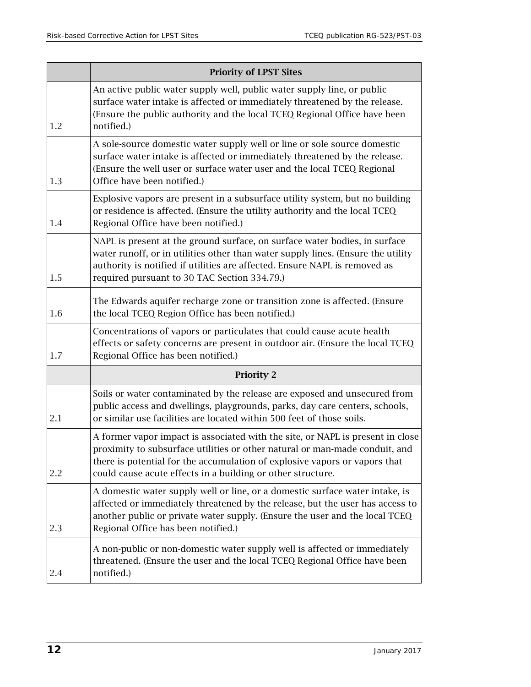|     | <b>Priority of LPST Sites</b>                                                                                                                                                                                                                                                                              |  |  |  |
|-----|------------------------------------------------------------------------------------------------------------------------------------------------------------------------------------------------------------------------------------------------------------------------------------------------------------|--|--|--|
| 1.2 | An active public water supply well, public water supply line, or public<br>surface water intake is affected or immediately threatened by the release.<br>(Ensure the public authority and the local TCEQ Regional Office have been<br>notified.)                                                           |  |  |  |
| 1.3 | A sole-source domestic water supply well or line or sole source domestic<br>surface water intake is affected or immediately threatened by the release.<br>(Ensure the well user or surface water user and the local TCEQ Regional<br>Office have been notified.)                                           |  |  |  |
| 1.4 | Explosive vapors are present in a subsurface utility system, but no building<br>or residence is affected. (Ensure the utility authority and the local TCEQ<br>Regional Office have been notified.)                                                                                                         |  |  |  |
| 1.5 | NAPL is present at the ground surface, on surface water bodies, in surface<br>water runoff, or in utilities other than water supply lines. (Ensure the utility<br>authority is notified if utilities are affected. Ensure NAPL is removed as<br>required pursuant to 30 TAC Section 334.79.)               |  |  |  |
| 1.6 | The Edwards aquifer recharge zone or transition zone is affected. (Ensure<br>the local TCEQ Region Office has been notified.)                                                                                                                                                                              |  |  |  |
| 1.7 | Concentrations of vapors or particulates that could cause acute health<br>effects or safety concerns are present in outdoor air. (Ensure the local TCEQ<br>Regional Office has been notified.)                                                                                                             |  |  |  |
|     | <b>Priority 2</b>                                                                                                                                                                                                                                                                                          |  |  |  |
| 2.1 | Soils or water contaminated by the release are exposed and unsecured from<br>public access and dwellings, playgrounds, parks, day care centers, schools,<br>or similar use facilities are located within 500 feet of those soils.                                                                          |  |  |  |
| 2.2 | A former vapor impact is associated with the site, or NAPL is present in close<br>proximity to subsurface utilities or other natural or man-made conduit, and<br>there is potential for the accumulation of explosive vapors or vapors that<br>could cause acute effects in a building or other structure. |  |  |  |
| 2.3 | A domestic water supply well or line, or a domestic surface water intake, is<br>affected or immediately threatened by the release, but the user has access to<br>another public or private water supply. (Ensure the user and the local TCEQ<br>Regional Office has been notified.)                        |  |  |  |
| 2.4 | A non-public or non-domestic water supply well is affected or immediately<br>threatened. (Ensure the user and the local TCEQ Regional Office have been<br>notified.)                                                                                                                                       |  |  |  |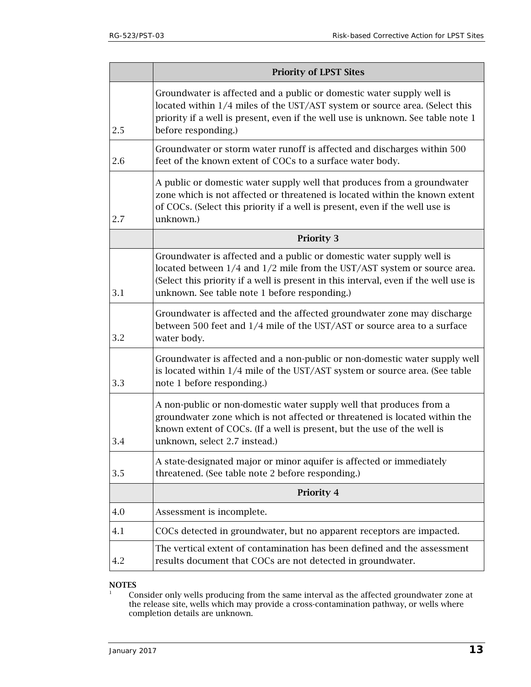|     | <b>Priority of LPST Sites</b>                                                                                                                                                                                                                                                              |  |  |
|-----|--------------------------------------------------------------------------------------------------------------------------------------------------------------------------------------------------------------------------------------------------------------------------------------------|--|--|
| 2.5 | Groundwater is affected and a public or domestic water supply well is<br>located within 1/4 miles of the UST/AST system or source area. (Select this<br>priority if a well is present, even if the well use is unknown. See table note 1<br>before responding.)                            |  |  |
| 2.6 | Groundwater or storm water runoff is affected and discharges within 500<br>feet of the known extent of COCs to a surface water body.                                                                                                                                                       |  |  |
| 2.7 | A public or domestic water supply well that produces from a groundwater<br>zone which is not affected or threatened is located within the known extent<br>of COCs. (Select this priority if a well is present, even if the well use is<br>unknown.)                                        |  |  |
|     | <b>Priority 3</b>                                                                                                                                                                                                                                                                          |  |  |
| 3.1 | Groundwater is affected and a public or domestic water supply well is<br>located between 1/4 and 1/2 mile from the UST/AST system or source area.<br>(Select this priority if a well is present in this interval, even if the well use is<br>unknown. See table note 1 before responding.) |  |  |
| 3.2 | Groundwater is affected and the affected groundwater zone may discharge<br>between 500 feet and 1/4 mile of the UST/AST or source area to a surface<br>water body.                                                                                                                         |  |  |
| 3.3 | Groundwater is affected and a non-public or non-domestic water supply well<br>is located within 1/4 mile of the UST/AST system or source area. (See table<br>note 1 before responding.)                                                                                                    |  |  |
| 3.4 | A non-public or non-domestic water supply well that produces from a<br>groundwater zone which is not affected or threatened is located within the<br>known extent of COCs. (If a well is present, but the use of the well is<br>unknown, select 2.7 instead.)                              |  |  |
| 3.5 | A state-designated major or minor aquifer is affected or immediately<br>threatened. (See table note 2 before responding.)                                                                                                                                                                  |  |  |
|     | <b>Priority 4</b>                                                                                                                                                                                                                                                                          |  |  |
| 4.0 | Assessment is incomplete.                                                                                                                                                                                                                                                                  |  |  |
| 4.1 | COCs detected in groundwater, but no apparent receptors are impacted.                                                                                                                                                                                                                      |  |  |
| 4.2 | The vertical extent of contamination has been defined and the assessment<br>results document that COCs are not detected in groundwater.                                                                                                                                                    |  |  |

# NOTES

 $1$  Consider only wells producing from the same interval as the affected groundwater zone at the release site, wells which may provide a cross-contamination pathway, or wells where completion details are unknown.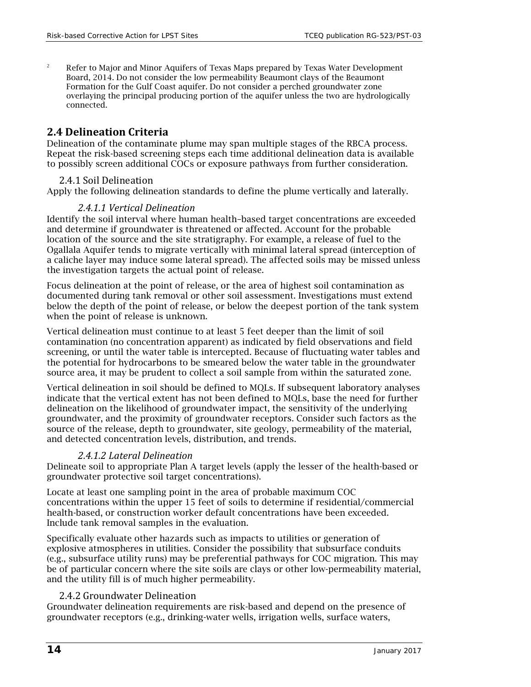<sup>2</sup> Refer to Major and Minor Aquifers of Texas Maps prepared by Texas Water Development Board, 2014. Do not consider the low permeability Beaumont clays of the Beaumont Formation for the Gulf Coast aquifer. Do not consider a perched groundwater zone overlaying the principal producing portion of the aquifer unless the two are hydrologically connected.

### <span id="page-13-0"></span>**2.4 Delineation Criteria**

Delineation of the contaminate plume may span multiple stages of the RBCA process. Repeat the risk-based screening steps each time additional delineation data is available to possibly screen additional COCs or exposure pathways from further consideration.

#### 2.4.1 Soil Delineation

<span id="page-13-1"></span>Apply the following delineation standards to define the plume vertically and laterally.

#### *2.4.1.1 Vertical Delineation*

Identify the soil interval where human health–based target concentrations are exceeded and determine if groundwater is threatened or affected. Account for the probable location of the source and the site stratigraphy. For example, a release of fuel to the Ogallala Aquifer tends to migrate vertically with minimal lateral spread (interception of a caliche layer may induce some lateral spread). The affected soils may be missed unless the investigation targets the actual point of release.

Focus delineation at the point of release, or the area of highest soil contamination as documented during tank removal or other soil assessment. Investigations must extend below the depth of the point of release, or below the deepest portion of the tank system when the point of release is unknown.

Vertical delineation must continue to at least 5 feet deeper than the limit of soil contamination (no concentration apparent) as indicated by field observations and field screening, or until the water table is intercepted. Because of fluctuating water tables and the potential for hydrocarbons to be smeared below the water table in the groundwater source area, it may be prudent to collect a soil sample from within the saturated zone.

Vertical delineation in soil should be defined to MQLs. If subsequent laboratory analyses indicate that the vertical extent has not been defined to MQLs, base the need for further delineation on the likelihood of groundwater impact, the sensitivity of the underlying groundwater, and the proximity of groundwater receptors. Consider such factors as the source of the release, depth to groundwater, site geology, permeability of the material, and detected concentration levels, distribution, and trends.

#### *2.4.1.2 Lateral Delineation*

Delineate soil to appropriate Plan A target levels (apply the lesser of the health-based or groundwater protective soil target concentrations).

Locate at least one sampling point in the area of probable maximum COC concentrations within the upper 15 feet of soils to determine if residential/commercial health-based, or construction worker default concentrations have been exceeded. Include tank removal samples in the evaluation.

Specifically evaluate other hazards such as impacts to utilities or generation of explosive atmospheres in utilities. Consider the possibility that subsurface conduits (e.g., subsurface utility runs) may be preferential pathways for COC migration. This may be of particular concern where the site soils are clays or other low-permeability material, and the utility fill is of much higher permeability.

#### 2.4.2 Groundwater Delineation

<span id="page-13-2"></span>Groundwater delineation requirements are risk-based and depend on the presence of groundwater receptors (e.g., drinking-water wells, irrigation wells, surface waters,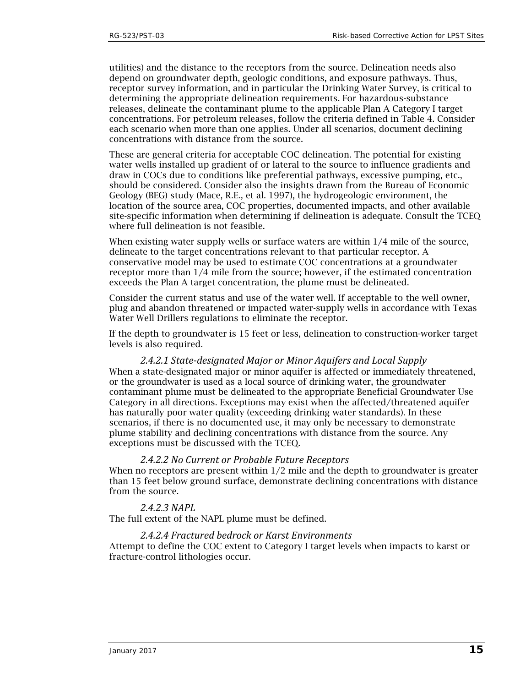utilities) and the distance to the receptors from the source. Delineation needs also depend on groundwater depth, geologic conditions, and exposure pathways. Thus, receptor survey information, and in particular the Drinking Water Survey, is critical to determining the appropriate delineation requirements. For hazardous-substance releases, delineate the contaminant plume to the applicable Plan A Category I target concentrations. For petroleum releases, follow the criteria defined in Table 4. Consider each scenario when more than one applies. Under all scenarios, document declining concentrations with distance from the source.

These are general criteria for acceptable COC delineation. The potential for existing water wells installed up gradient of or lateral to the source to influence gradients and draw in COCs due to conditions like preferential pathways, excessive pumping, etc., should be considered. Consider also the insights drawn from the Bureau of Economic Geology (BEG) study (Mace, R.E., et al. 1997), the hydrogeologic environment, the location of the source area, COC properties, documented impacts, and other available site-specific information when determining if delineation is adequate. Consult the TCEQ where full delineation is not feasible.

When existing water supply wells or surface waters are within  $1/4$  mile of the source, delineate to the target concentrations relevant to that particular receptor. A conservative model may be used to estimate COC concentrations at a groundwater receptor more than 1/4 mile from the source; however, if the estimated concentration exceeds the Plan A target concentration, the plume must be delineated.

Consider the current status and use of the water well. If acceptable to the well owner, plug and abandon threatened or impacted water-supply wells in accordance with Texas Water Well Drillers regulations to eliminate the receptor.

If the depth to groundwater is 15 feet or less, delineation to construction-worker target levels is also required.

*2.4.2.1 State-designated Major or Minor Aquifers and Local Supply* When a state-designated major or minor aquifer is affected or immediately threatened, or the groundwater is used as a local source of drinking water, the groundwater contaminant plume must be delineated to the appropriate Beneficial Groundwater Use Category in all directions. Exceptions may exist when the affected/threatened aquifer has naturally poor water quality (exceeding drinking water standards). In these scenarios, if there is no documented use, it may only be necessary to demonstrate plume stability and declining concentrations with distance from the source. Any exceptions must be discussed with the TCEQ.

#### *2.4.2.2 No Current or Probable Future Receptors*

When no receptors are present within  $1/2$  mile and the depth to groundwater is greater than 15 feet below ground surface, demonstrate declining concentrations with distance from the source.

#### *2.4.2.3 NAPL*

The full extent of the NAPL plume must be defined.

#### *2.4.2.4 Fractured bedrock or Karst Environments*

Attempt to define the COC extent to Category I target levels when impacts to karst or fracture-control lithologies occur.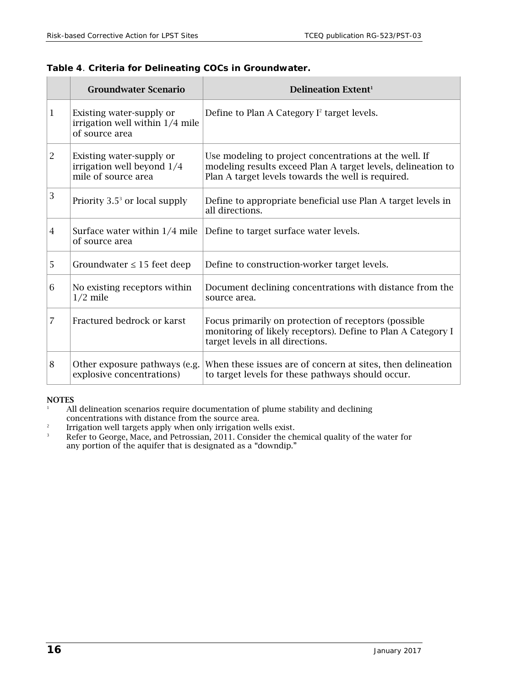### <span id="page-15-1"></span>**Table 4**. **Criteria for Delineating COCs in Groundwater.**

<span id="page-15-4"></span>

|                | <b>Groundwater Scenario</b>                                                   | <b>Delineation Extent<sup>1</sup></b>                                                                                                                                        |
|----------------|-------------------------------------------------------------------------------|------------------------------------------------------------------------------------------------------------------------------------------------------------------------------|
| 1              | Existing water-supply or<br>irrigation well within 1/4 mile<br>of source area | Define to Plan A Category I <sup>2</sup> target levels.                                                                                                                      |
| $\overline{c}$ | Existing water-supply or<br>irrigation well beyond 1/4<br>mile of source area | Use modeling to project concentrations at the well. If<br>modeling results exceed Plan A target levels, delineation to<br>Plan A target levels towards the well is required. |
| 3              | Priority $3.5^3$ or local supply                                              | Define to appropriate beneficial use Plan A target levels in<br>all directions.                                                                                              |
| $\overline{4}$ | Surface water within $1/4$ mile<br>of source area                             | Define to target surface water levels.                                                                                                                                       |
| 5              | Groundwater $\leq 15$ feet deep                                               | Define to construction-worker target levels.                                                                                                                                 |
| 6              | No existing receptors within<br>$1/2$ mile                                    | Document declining concentrations with distance from the<br>source area.                                                                                                     |
| 7              | Fractured bedrock or karst                                                    | Focus primarily on protection of receptors (possible<br>monitoring of likely receptors). Define to Plan A Category I<br>target levels in all directions.                     |
| 8              | Other exposure pathways (e.g.<br>explosive concentrations)                    | When these issues are of concern at sites, then delineation<br>to target levels for these pathways should occur.                                                             |

#### <span id="page-15-2"></span>NOTES

<sup>1</sup> All delineation scenarios require documentation of plume stability and declining concentrations with distance from the source are[a.](#page-15-4)

- <sup>2</sup> Irrigation well targets apply when only irrigation wells exist.<br>Refer to George Mace, and Petrossian, 2011. Consider the ch
- <span id="page-15-3"></span><span id="page-15-0"></span>Refer to George, Mace, and Petrossian, 2011. Consider the chemical quality of the water for any portion of the aquifer that is designated as a "downdip."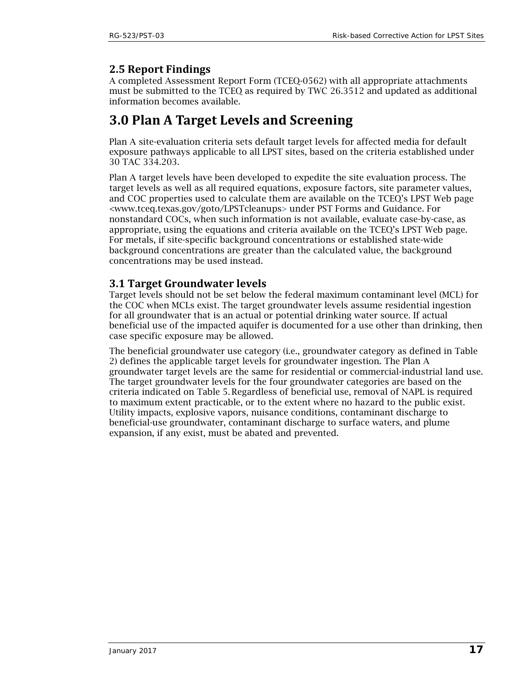# **2.5 Report Findings**

A completed Assessment Report Form (TCEQ-0562) with all appropriate attachments must be submitted to the TCEQ as required by TWC 26.3512 and updated as additional information becomes available.

# <span id="page-16-0"></span>**3.0 Plan A Target Levels and Screening**

Plan A site-evaluation criteria sets default target levels for affected media for default exposure pathways applicable to all LPST sites, based on the criteria established under 30 TAC 334.203.

Plan A target levels have been developed to expedite the site evaluation process. The target levels as well as all required equations, exposure factors, site parameter values, and COC properties used to calculate them are available on the TCEQ's LPST Web page [<www.tceq.texas.gov/goto/LPSTcleanups>](https://www.tceq.texas.gov/goto/LPSTcleanups) under PST Forms and Guidance. For nonstandard COCs, when such information is not available, evaluate case-by-case, as appropriate, using the equations and criteria available on the TCEQ's LPST Web page. For metals, if site-specific background concentrations or established state-wide background concentrations are greater than the calculated value, the background concentrations may be used instead.

# <span id="page-16-1"></span>**3.1 Target Groundwater levels**

Target levels should not be set below the federal maximum contaminant level (MCL) for the COC when MCLs exist. The target groundwater levels assume residential ingestion for all groundwater that is an actual or potential drinking water source. If actual beneficial use of the impacted aquifer is documented for a use other than drinking, then case specific exposure may be allowed.

<span id="page-16-2"></span>The beneficial groundwater use category (i.e., groundwater category as defined in Table 2) defines the applicable target levels for groundwater ingestion. The Plan A groundwater target levels are the same for residential or commercial-industrial land use. The target groundwater levels for the four groundwater categories are based on the criteria indicated on Table 5.Regardless of beneficial use, removal of NAPL is required to maximum extent practicable, or to the extent where no hazard to the public exist. Utility impacts, explosive vapors, nuisance conditions, contaminant discharge to beneficial-use groundwater, contaminant discharge to surface waters, and plume expansion, if any exist, must be abated and prevented.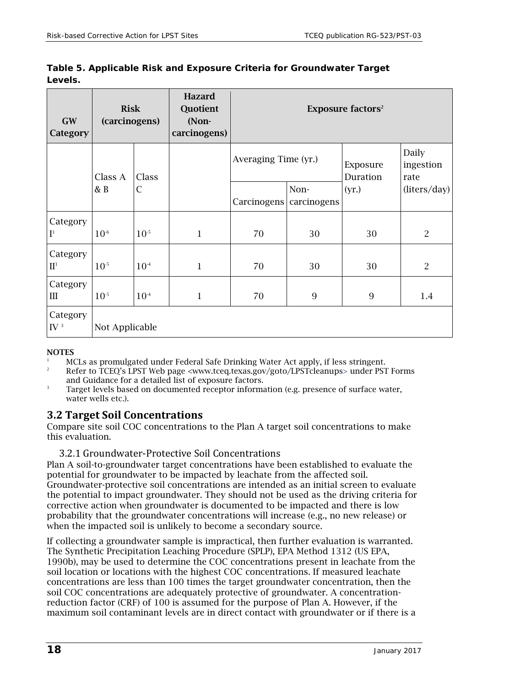| <b>GW</b><br>Category                  | <b>Risk</b><br>(carcinogens) |           | <b>Hazard</b><br>Quotient<br>(Non-<br>carcinogens) | <b>Exposure factors<sup>2</sup></b> |      |                      |                            |
|----------------------------------------|------------------------------|-----------|----------------------------------------------------|-------------------------------------|------|----------------------|----------------------------|
|                                        | Class A<br>& B               | Class     |                                                    | Averaging Time (yr.)                |      | Exposure<br>Duration | Daily<br>ingestion<br>rate |
|                                        |                              | С         |                                                    | Carcinogens   carcinogens           | Non- | (yr.)                | (liters/day)               |
| Category<br>$\mathbf{I}^1$             | $10^{-6}$                    | $10^{-5}$ | $\mathbf{1}$                                       | 70                                  | 30   | 30                   | $\overline{2}$             |
| Category<br>$\mathbf{H}^1$             | $10^{-5}$                    | $10^{-4}$ | $\mathbf{1}$                                       | 70                                  | 30   | 30                   | $\overline{2}$             |
| Category<br>$\rm III$                  | $10^{-5}$                    | $10^{-4}$ | 1                                                  | 70                                  | 9    | $\overline{9}$       | 1.4                        |
| Category<br>$\mathrm{IV}$ <sup>3</sup> | Not Applicable               |           |                                                    |                                     |      |                      |                            |

**Table 5. Applicable Risk and Exposure Criteria for Groundwater Target Levels.** 

#### **NOTES**

<sup>1</sup> MCLs as promulgated under Federal Safe Drinking Water Act apply, if less stringent.<br><sup>2</sup> Pofer to  $TCEO's\_DST$  Web page *GUITH 1999 50y/9040/DSTeleopupes* under PST

- 2 Refer to TCEQ's LPST Web page [<www.tceq.texas.gov/goto/LPSTcleanups>](https://www.tceq.texas.gov/goto/LPSTcleanups) under PST Forms
- and Guidance for a detailed list of exposure factors.<br>3 Target levels based on documented receptor information (e.g. presence of surface water, water wells etc.).

### <span id="page-17-0"></span>**3.2 Target Soil Concentrations**

Compare site soil COC concentrations to the Plan A target soil concentrations to make this evaluation.

<span id="page-17-1"></span>3.2.1 Groundwater-Protective Soil Concentrations

Plan A soil-to-groundwater target concentrations have been established to evaluate the potential for groundwater to be impacted by leachate from the affected soil. Groundwater-protective soil concentrations are intended as an initial screen to evaluate the potential to impact groundwater. They should not be used as the driving criteria for corrective action when groundwater is documented to be impacted and there is low probability that the groundwater concentrations will increase (e.g., no new release) or when the impacted soil is unlikely to become a secondary source.

If collecting a groundwater sample is impractical, then further evaluation is warranted. The Synthetic Precipitation Leaching Procedure (SPLP), EPA Method 1312 (US EPA, 1990b), may be used to determine the COC concentrations present in leachate from the soil location or locations with the highest COC concentrations. If measured leachate concentrations are less than 100 times the target groundwater concentration, then the soil COC concentrations are adequately protective of groundwater. A concentrationreduction factor (CRF) of 100 is assumed for the purpose of Plan A. However, if the maximum soil contaminant levels are in direct contact with groundwater or if there is a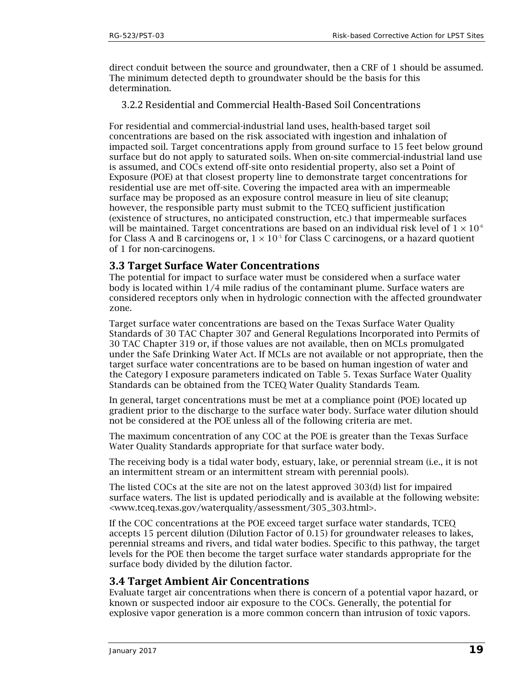direct conduit between the source and groundwater, then a CRF of 1 should be assumed. The minimum detected depth to groundwater should be the basis for this determination.

<span id="page-18-0"></span>3.2.2 Residential and Commercial Health-Based Soil Concentrations

For residential and commercial-industrial land uses, health-based target soil concentrations are based on the risk associated with ingestion and inhalation of impacted soil. Target concentrations apply from ground surface to 15 feet below ground surface but do not apply to saturated soils. When on-site commercial-industrial land use is assumed, and COCs extend off-site onto residential property, also set a Point of Exposure (POE) at that closest property line to demonstrate target concentrations for residential use are met off-site. Covering the impacted area with an impermeable surface may be proposed as an exposure control measure in lieu of site cleanup; however, the responsible party must submit to the TCEQ sufficient justification (existence of structures, no anticipated construction, etc.) that impermeable surfaces will be maintained. Target concentrations are based on an individual risk level of  $1 \times 10^{-6}$ for Class A and B carcinogens or,  $1 \times 10^{-5}$  for Class C carcinogens, or a hazard quotient of 1 for non-carcinogens.

# <span id="page-18-1"></span>**3.3 Target Surface Water Concentrations**

The potential for impact to surface water must be considered when a surface water body is located within 1/4 mile radius of the contaminant plume. Surface waters are considered receptors only when in hydrologic connection with the affected groundwater zone.

Target surface water concentrations are based on the Texas Surface Water Quality Standards of 30 TAC Chapter 307 and General Regulations Incorporated into Permits of 30 TAC Chapter 319 or, if those values are not available, then on MCLs promulgated under the Safe Drinking Water Act. If MCLs are not available or not appropriate, then the target surface water concentrations are to be based on human ingestion of water and the Category I exposure parameters indicated on Table 5. Texas Surface Water Quality Standards can be obtained from the TCEQ Water Quality Standards Team.

In general, target concentrations must be met at a compliance point (POE) located up gradient prior to the discharge to the surface water body. Surface water dilution should not be considered at the POE unless all of the following criteria are met.

The maximum concentration of any COC at the POE is greater than the Texas Surface Water Quality Standards appropriate for that surface water body.

The receiving body is a tidal water body, estuary, lake, or perennial stream (i.e., it is not an intermittent stream or an intermittent stream with perennial pools).

The listed COCs at the site are not on the latest approved 303(d) list for impaired surface waters. The list is updated periodically and is available at the following website: [<www.tceq.texas.gov/waterquality/assessment/305\\_303.html>](https://www.tceq.texas.gov/waterquality/assessment/305_303.html).

If the COC concentrations at the POE exceed target surface water standards, TCEQ accepts 15 percent dilution (Dilution Factor of 0.15) for groundwater releases to lakes, perennial streams and rivers, and tidal water bodies. Specific to this pathway, the target levels for the POE then become the target surface water standards appropriate for the surface body divided by the dilution factor.

### <span id="page-18-2"></span>**3.4 Target Ambient Air Concentrations**

Evaluate target air concentrations when there is concern of a potential vapor hazard, or known or suspected indoor air exposure to the COCs. Generally, the potential for explosive vapor generation is a more common concern than intrusion of toxic vapors.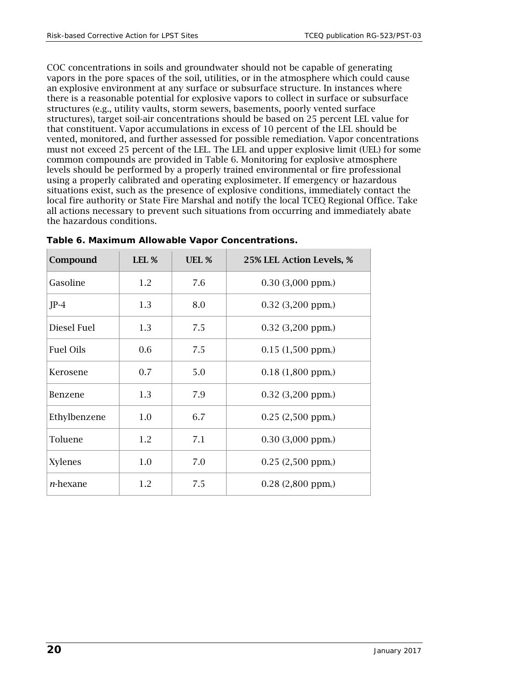COC concentrations in soils and groundwater should not be capable of generating vapors in the pore spaces of the soil, utilities, or in the atmosphere which could cause an explosive environment at any surface or subsurface structure. In instances where there is a reasonable potential for explosive vapors to collect in surface or subsurface structures (e.g., utility vaults, storm sewers, basements, poorly vented surface structures), target soil-air concentrations should be based on 25 percent LEL value for that constituent. Vapor accumulations in excess of 10 percent of the LEL should be vented, monitored, and further assessed for possible remediation. Vapor concentrations must not exceed 25 percent of the LEL. The LEL and upper explosive limit (UEL) for some common compounds are provided in Table 6. Monitoring for explosive atmosphere levels should be performed by a properly trained environmental or fire professional using a properly calibrated and operating explosimeter. If emergency or hazardous situations exist, such as the presence of explosive conditions, immediately contact the local fire authority or State Fire Marshal and notify the local TCEQ Regional Office. Take all actions necessary to prevent such situations from occurring and immediately abate the hazardous conditions.

| Compound         | LEL % | UEL % | 25% LEL Action Levels, %         |
|------------------|-------|-------|----------------------------------|
| Gasoline         | 1.2   | 7.6   | $0.30$ (3,000 ppm <sub>v</sub> ) |
| $JP-4$           | 1.3   | 8.0   | $0.32$ (3,200 ppm <sub>v</sub> ) |
| Diesel Fuel      | 1.3   | 7.5   | $0.32$ (3,200 ppm <sub>v</sub> ) |
| Fuel Oils        | 0.6   | 7.5   | 0.15(1,500 ppm)                  |
| Kerosene         | 0.7   | 5.0   | $0.18(1,800~\text{ppm}_{v})$     |
| <b>Benzene</b>   | 1.3   | 7.9   | $0.32$ (3,200 ppm <sub>v</sub> ) |
| Ethylbenzene     | 1.0   | 6.7   | $0.25(2,500 \text{ ppm})$        |
| Toluene          | 1.2   | 7.1   | $0.30$ (3,000 ppm <sub>v</sub> ) |
| <b>Xylenes</b>   | 1.0   | 7.0   | $0.25(2,500 \text{ ppm})$        |
| <i>n</i> -hexane | 1.2   | 7.5   | $0.28$ (2,800 ppm <sub>v</sub> ) |

<span id="page-19-0"></span>

| Table 6. Maximum Allowable Vapor Concentrations. |  |  |
|--------------------------------------------------|--|--|
|--------------------------------------------------|--|--|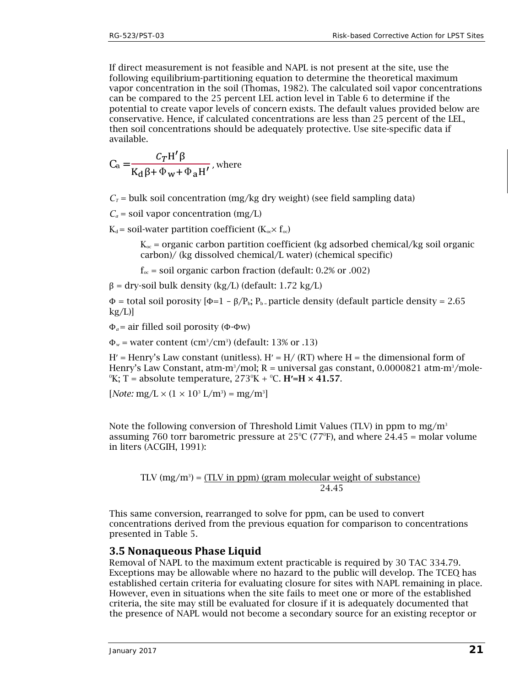If direct measurement is not feasible and NAPL is not present at the site, use the following equilibrium-partitioning equation to determine the theoretical maximum vapor concentration in the soil (Thomas, 1982). The calculated soil vapor concentrations can be compared to the 25 percent LEL action level in Table 6 to determine if the potential to create vapor levels of concern exists. The default values provided below are conservative. Hence, if calculated concentrations are less than 25 percent of the LEL, then soil concentrations should be adequately protective. Use site-specific data if available.

$$
C_a = \frac{C_T H' \beta}{K_d \beta + \Phi_w + \Phi_a H'}
$$
, where

 $C_T$  = bulk soil concentration (mg/kg dry weight) (see field sampling data)

 $C_a$  = soil vapor concentration (mg/L)

 $K_d$  = soil-water partition coefficient ( $K_{oc} \times f_{oc}$ )

 $K_{\text{oc}}$  = organic carbon partition coefficient (kg adsorbed chemical/kg soil organic carbon)/ (kg dissolved chemical/L water) (chemical specific)

 $f_{\text{oc}}$  = soil organic carbon fraction (default: 0.2% or .002)

 $β = dry-soil bulk density (kg/L) (default: 1.72 kg/L)$ 

 $\Phi$  = total soil porosity  $[\Phi=1 - \beta/P_b; P_b$  = particle density (default particle density = 2.65  $kg/L$ ]

Φ*<sup>a</sup>* = air filled soil porosity (Φ-Φw)

 $\Phi_w$  = water content (cm<sup>3</sup>/cm<sup>3</sup>) (default: 13% or .13)

 $H'$  = Henry's Law constant (unitless).  $H'$  =  $H/$  (RT) where  $H$  = the dimensional form of Henry's Law Constant, atm-m<sup>3</sup>/mol; R = universal gas constant, 0.0000821 atm-m<sup>3</sup>/mole-0 K; T = absolute temperature, 2730 K + 0 C. H**′**=H × 41.57.

 $[Note: mg/L \times (1 \times 10^3 \text{ L/m}^3) = \text{mg/m}^3]$ 

Note the following conversion of Threshold Limit Values (TLV) in ppm to mg/m<sup>3</sup> assuming 760 torr barometric pressure at  $25^{\circ}$ C (77<sup>°</sup>F), and where 24.45 = molar volume in liters (ACGIH, 1991):

TLV 
$$
(mg/m^3)
$$
 = (TLV in ppm) (gram molecular weight of substance)  
24.45

This same conversion, rearranged to solve for ppm, can be used to convert concentrations derived from the previous equation for comparison to concentrations presented in Table 5.

#### <span id="page-20-0"></span>**3.5 Nonaqueous Phase Liquid**

Removal of NAPL to the maximum extent practicable is required by 30 TAC 334.79. Exceptions may be allowable where no hazard to the public will develop. The TCEQ has established certain criteria for evaluating closure for sites with NAPL remaining in place. However, even in situations when the site fails to meet one or more of the established criteria, the site may still be evaluated for closure if it is adequately documented that the presence of NAPL would not become a secondary source for an existing receptor or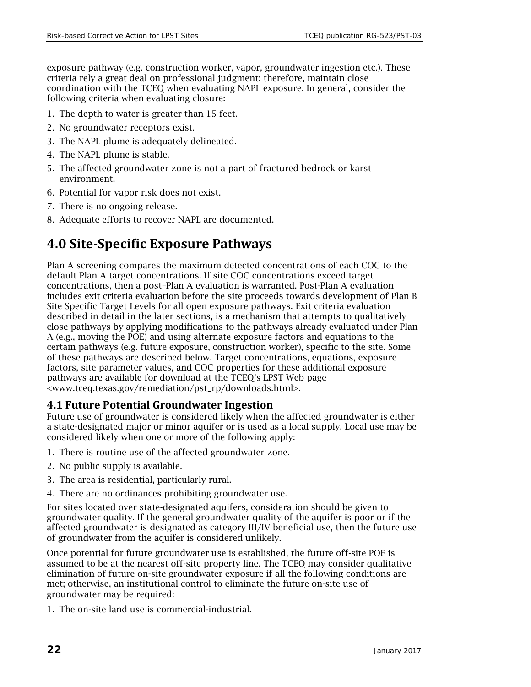exposure pathway (e.g. construction worker, vapor, groundwater ingestion etc.). These criteria rely a great deal on professional judgment; therefore, maintain close coordination with the TCEQ when evaluating NAPL exposure. In general, consider the following criteria when evaluating closure:

- 1. The depth to water is greater than 15 feet.
- 2. No groundwater receptors exist.
- 3. The NAPL plume is adequately delineated.
- 4. The NAPL plume is stable.
- 5. The affected groundwater zone is not a part of fractured bedrock or karst environment.
- 6. Potential for vapor risk does not exist.
- 7. There is no ongoing release.
- 8. Adequate efforts to recover NAPL are documented.

# <span id="page-21-0"></span>**4.0 Site-Specific Exposure Pathways**

Plan A screening compares the maximum detected concentrations of each COC to the default Plan A target concentrations. If site COC concentrations exceed target concentrations, then a post–Plan A evaluation is warranted. Post-Plan A evaluation includes exit criteria evaluation before the site proceeds towards development of Plan B Site Specific Target Levels for all open exposure pathways. Exit criteria evaluation described in detail in the later sections, is a mechanism that attempts to qualitatively close pathways by applying modifications to the pathways already evaluated under Plan A (e.g., moving the POE) and using alternate exposure factors and equations to the certain pathways (e.g. future exposure, construction worker), specific to the site. Some of these pathways are described below. Target concentrations, equations, exposure factors, site parameter values, and COC properties for these additional exposure pathways are available for download at the TCEQ's LPST Web page [<www.tceq.texas.gov/remediation/pst\\_rp/downloads.html>](http://www.tceq.texas.gov/remediation/pst_rp/downloads.html).

# <span id="page-21-1"></span>**4.1 Future Potential Groundwater Ingestion**

Future use of groundwater is considered likely when the affected groundwater is either a state-designated major or minor aquifer or is used as a local supply. Local use may be considered likely when one or more of the following apply:

- 1. There is routine use of the affected groundwater zone.
- 2. No public supply is available.
- 3. The area is residential, particularly rural.
- 4. There are no ordinances prohibiting groundwater use.

For sites located over state-designated aquifers, consideration should be given to groundwater quality. If the general groundwater quality of the aquifer is poor or if the affected groundwater is designated as category III/IV beneficial use, then the future use of groundwater from the aquifer is considered unlikely.

Once potential for future groundwater use is established, the future off-site POE is assumed to be at the nearest off-site property line. The TCEQ may consider qualitative elimination of future on-site groundwater exposure if all the following conditions are met; otherwise, an institutional control to eliminate the future on-site use of groundwater may be required:

1. The on-site land use is commercial-industrial.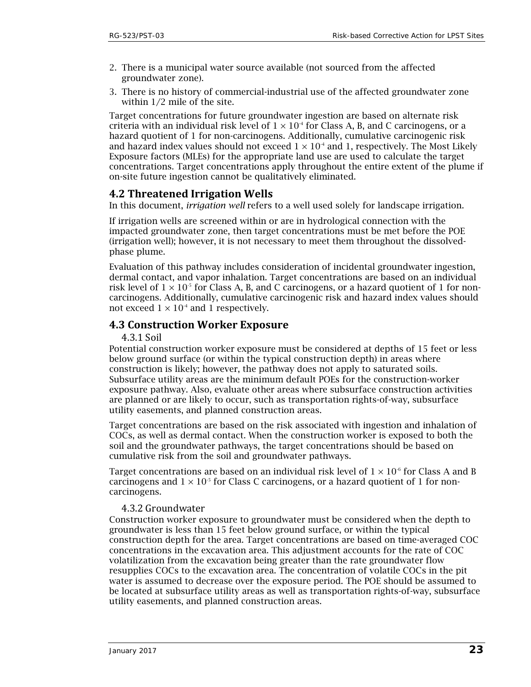- 2. There is a municipal water source available (not sourced from the affected groundwater zone).
- 3. There is no history of commercial-industrial use of the affected groundwater zone within 1/2 mile of the site.

Target concentrations for future groundwater ingestion are based on alternate risk criteria with an individual risk level of  $1 \times 10^4$  for Class A, B, and C carcinogens, or a hazard quotient of 1 for non-carcinogens. Additionally, cumulative carcinogenic risk and hazard index values should not exceed  $1 \times 10^4$  and 1, respectively. The Most Likely Exposure factors (MLEs) for the appropriate land use are used to calculate the target concentrations. Target concentrations apply throughout the entire extent of the plume if on-site future ingestion cannot be qualitatively eliminated.

### <span id="page-22-0"></span>**4.2 Threatened Irrigation Wells**

In this document, *irrigation well* refers to a well used solely for landscape irrigation.

If irrigation wells are screened within or are in hydrological connection with the impacted groundwater zone, then target concentrations must be met before the POE (irrigation well); however, it is not necessary to meet them throughout the dissolvedphase plume.

Evaluation of this pathway includes consideration of incidental groundwater ingestion, dermal contact, and vapor inhalation. Target concentrations are based on an individual risk level of  $1 \times 10^{-5}$  for Class A, B, and C carcinogens, or a hazard quotient of 1 for noncarcinogens. Additionally, cumulative carcinogenic risk and hazard index values should not exceed  $1 \times 10^{-4}$  and 1 respectively.

### <span id="page-22-2"></span><span id="page-22-1"></span>**4.3 Construction Worker Exposure**

4.3.1 Soil

Potential construction worker exposure must be considered at depths of 15 feet or less below ground surface (or within the typical construction depth) in areas where construction is likely; however, the pathway does not apply to saturated soils. Subsurface utility areas are the minimum default POEs for the construction-worker exposure pathway. Also, evaluate other areas where subsurface construction activities are planned or are likely to occur, such as transportation rights-of-way, subsurface utility easements, and planned construction areas.

Target concentrations are based on the risk associated with ingestion and inhalation of COCs, as well as dermal contact. When the construction worker is exposed to both the soil and the groundwater pathways, the target concentrations should be based on cumulative risk from the soil and groundwater pathways.

Target concentrations are based on an individual risk level of  $1 \times 10^6$  for Class A and B carcinogens and  $1 \times 10^{-5}$  for Class C carcinogens, or a hazard quotient of 1 for noncarcinogens.

#### <span id="page-22-3"></span>4.3.2 Groundwater

Construction worker exposure to groundwater must be considered when the depth to groundwater is less than 15 feet below ground surface, or within the typical construction depth for the area. Target concentrations are based on time-averaged COC concentrations in the excavation area. This adjustment accounts for the rate of COC volatilization from the excavation being greater than the rate groundwater flow resupplies COCs to the excavation area. The concentration of volatile COCs in the pit water is assumed to decrease over the exposure period. The POE should be assumed to be located at subsurface utility areas as well as transportation rights-of-way, subsurface utility easements, and planned construction areas.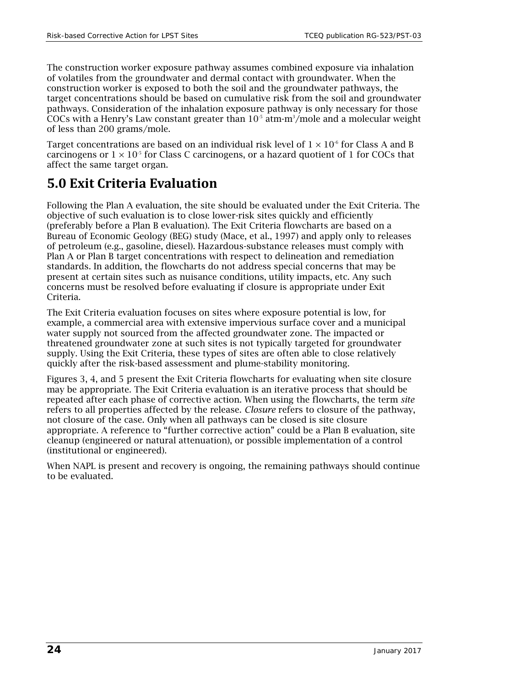The construction worker exposure pathway assumes combined exposure via inhalation of volatiles from the groundwater and dermal contact with groundwater. When the construction worker is exposed to both the soil and the groundwater pathways, the target concentrations should be based on cumulative risk from the soil and groundwater pathways. Consideration of the inhalation exposure pathway is only necessary for those COCs with a Henry's Law constant greater than  $10^5$  atm-m<sup>3</sup>/mole and a molecular weight of less than 200 grams/mole.

Target concentrations are based on an individual risk level of  $1 \times 10^{-6}$  for Class A and B carcinogens or  $1 \times 10^{-5}$  for Class C carcinogens, or a hazard quotient of 1 for COCs that affect the same target organ.

# <span id="page-23-0"></span>**5.0 Exit Criteria Evaluation**

Following the Plan A evaluation, the site should be evaluated under the Exit Criteria. The objective of such evaluation is to close lower-risk sites quickly and efficiently (preferably before a Plan B evaluation). The Exit Criteria flowcharts are based on a Bureau of Economic Geology (BEG) study (Mace, et al., 1997) and apply only to releases of petroleum (e.g., gasoline, diesel). Hazardous-substance releases must comply with Plan A or Plan B target concentrations with respect to delineation and remediation standards. In addition, the flowcharts do not address special concerns that may be present at certain sites such as nuisance conditions, utility impacts, etc. Any such concerns must be resolved before evaluating if closure is appropriate under Exit Criteria.

The Exit Criteria evaluation focuses on sites where exposure potential is low, for example, a commercial area with extensive impervious surface cover and a municipal water supply not sourced from the affected groundwater zone. The impacted or threatened groundwater zone at such sites is not typically targeted for groundwater supply. Using the Exit Criteria, these types of sites are often able to close relatively quickly after the risk-based assessment and plume-stability monitoring.

Figures 3, 4, and 5 present the Exit Criteria flowcharts for evaluating when site closure may be appropriate. The Exit Criteria evaluation is an iterative process that should be repeated after each phase of corrective action. When using the flowcharts, the term *site* refers to all properties affected by the release. *Closure* refers to closure of the pathway, not closure of the case. Only when all pathways can be closed is site closure appropriate. A reference to "further corrective action" could be a Plan B evaluation, site cleanup (engineered or natural attenuation), or possible implementation of a control (institutional or engineered).

When NAPL is present and recovery is ongoing, the remaining pathways should continue to be evaluated.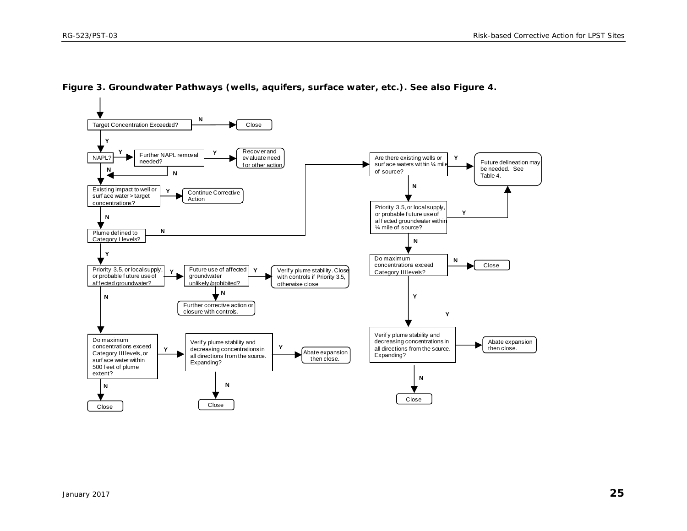<span id="page-24-0"></span>

**Figure 3. Groundwater Pathways (wells, aquifers, surface water, etc.). See also Figure 4.**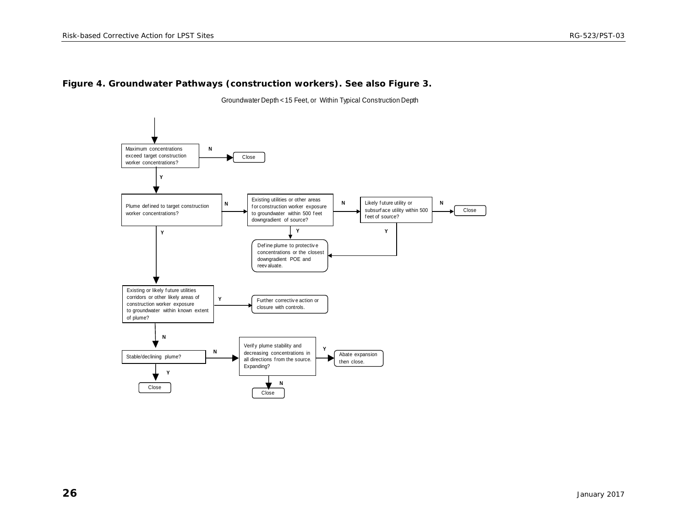#### **Figure 4. Groundwater Pathways (construction workers). See also Figure 3.**

Groundwater Depth < 15 Feet, or Within Typical Construction Depth

<span id="page-25-0"></span>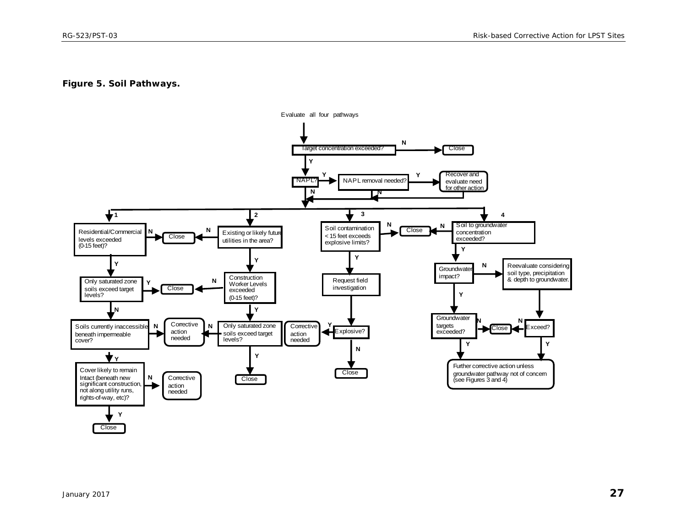#### **Figure 5. Soil Pathways.**

<span id="page-26-0"></span>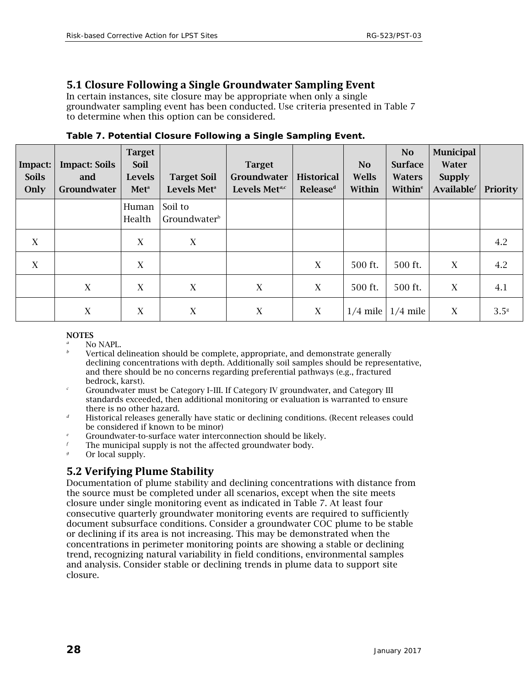# <span id="page-27-0"></span>**5.1 Closure Following a Single Groundwater Sampling Event**

In certain instances, site closure may be appropriate when only a single groundwater sampling event has been conducted. Use criteria presented in Table 7 to determine when this option can be considered.

| Impact:<br><b>Soils</b><br>Only | <b>Impact: Soils</b><br>and<br>Groundwater | <b>Target</b><br><b>Soil</b><br><b>Levels</b><br><b>Meta</b> | <b>Target Soil</b><br>Levels Met <sup>a</sup> | <b>Target</b><br>Groundwater<br>Levels Met <sup>a,c</sup> | <b>Historical</b><br><b>Release</b> <sup>d</sup> | <b>No</b><br><b>Wells</b><br>Within | N <sub>o</sub><br><b>Surface</b><br><b>Waters</b><br>Within <sup>e</sup> | <b>Municipal</b><br><b>Water</b><br><b>Supply</b><br>Available <sup>f</sup> | Priority         |
|---------------------------------|--------------------------------------------|--------------------------------------------------------------|-----------------------------------------------|-----------------------------------------------------------|--------------------------------------------------|-------------------------------------|--------------------------------------------------------------------------|-----------------------------------------------------------------------------|------------------|
|                                 |                                            | Human<br>Health                                              | Soil to<br>Groundwater <sup>b</sup>           |                                                           |                                                  |                                     |                                                                          |                                                                             |                  |
| X                               |                                            | X                                                            | $\boldsymbol{X}$                              |                                                           |                                                  |                                     |                                                                          |                                                                             | 4.2              |
| X                               |                                            | X                                                            |                                               |                                                           | X                                                | 500 ft.                             | 500 ft.                                                                  | X                                                                           | 4.2              |
|                                 | X                                          | X                                                            | $\boldsymbol{X}$                              | X                                                         | X                                                | 500 ft.                             | 500 ft.                                                                  | X                                                                           | 4.1              |
|                                 | X                                          | X                                                            | $\boldsymbol{X}$                              | X                                                         | X                                                | $1/4$ mile                          | $1/4$ mile                                                               | X                                                                           | 3.5 <sup>g</sup> |

<span id="page-27-2"></span>**Table 7. Potential Closure Following a Single Sampling Event.**

#### **NOTES**

- No NAPL.
- *<sup>b</sup>* Vertical delineation should be complete, appropriate, and demonstrate generally declining concentrations with depth. Additionally soil samples should be representative, and there should be no concerns regarding preferential pathways (e.g., fractured bedrock, karst).
- *<sup>c</sup>* Groundwater must be Category I–III. If Category IV groundwater, and Category III standards exceeded, then additional monitoring or evaluation is warranted to ensure there is no other hazard.
- *<sup>d</sup>* Historical releases generally have static or declining conditions. (Recent releases could be considered if known to be minor)
- *e* Groundwater-to-surface water interconnection should be likely.<br>
The municipal supply is not the affected groundwater body.
- The municipal supply is not the affected groundwater body.
- Or local supply.

# <span id="page-27-1"></span>**5.2 Verifying Plume Stability**

Documentation of plume stability and declining concentrations with distance from the source must be completed under all scenarios, except when the site meets closure under single monitoring event as indicated in Table 7. At least four consecutive quarterly groundwater monitoring events are required to sufficiently document subsurface conditions. Consider a groundwater COC plume to be stable or declining if its area is not increasing. This may be demonstrated when the concentrations in perimeter monitoring points are showing a stable or declining trend, recognizing natural variability in field conditions, environmental samples and analysis. Consider stable or declining trends in plume data to support site closure.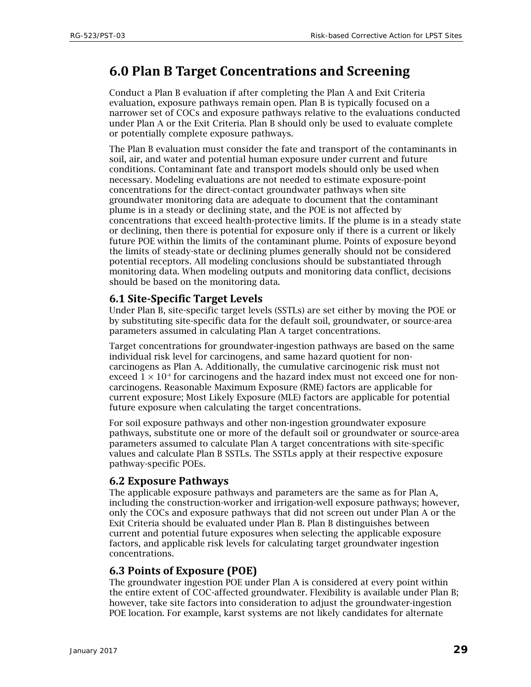# <span id="page-28-0"></span>**6.0 Plan B Target Concentrations and Screening**

Conduct a Plan B evaluation if after completing the Plan A and Exit Criteria evaluation, exposure pathways remain open. Plan B is typically focused on a narrower set of COCs and exposure pathways relative to the evaluations conducted under Plan A or the Exit Criteria. Plan B should only be used to evaluate complete or potentially complete exposure pathways.

The Plan B evaluation must consider the fate and transport of the contaminants in soil, air, and water and potential human exposure under current and future conditions. Contaminant fate and transport models should only be used when necessary. Modeling evaluations are not needed to estimate exposure-point concentrations for the direct-contact groundwater pathways when site groundwater monitoring data are adequate to document that the contaminant plume is in a steady or declining state, and the POE is not affected by concentrations that exceed health-protective limits. If the plume is in a steady state or declining, then there is potential for exposure only if there is a current or likely future POE within the limits of the contaminant plume. Points of exposure beyond the limits of steady-state or declining plumes generally should not be considered potential receptors. All modeling conclusions should be substantiated through monitoring data. When modeling outputs and monitoring data conflict, decisions should be based on the monitoring data.

### <span id="page-28-1"></span>**6.1 Site-Specific Target Levels**

Under Plan B, site-specific target levels (SSTLs) are set either by moving the POE or by substituting site-specific data for the default soil, groundwater, or source-area parameters assumed in calculating Plan A target concentrations.

Target concentrations for groundwater-ingestion pathways are based on the same individual risk level for carcinogens, and same hazard quotient for noncarcinogens as Plan A. Additionally, the cumulative carcinogenic risk must not exceed  $1 \times 10^4$  for carcinogens and the hazard index must not exceed one for noncarcinogens. Reasonable Maximum Exposure (RME) factors are applicable for current exposure; Most Likely Exposure (MLE) factors are applicable for potential future exposure when calculating the target concentrations.

For soil exposure pathways and other non-ingestion groundwater exposure pathways, substitute one or more of the default soil or groundwater or source-area parameters assumed to calculate Plan A target concentrations with site-specific values and calculate Plan B SSTLs. The SSTLs apply at their respective exposure pathway-specific POEs.

### <span id="page-28-2"></span>**6.2 Exposure Pathways**

The applicable exposure pathways and parameters are the same as for Plan A, including the construction-worker and irrigation-well exposure pathways; however, only the COCs and exposure pathways that did not screen out under Plan A or the Exit Criteria should be evaluated under Plan B. Plan B distinguishes between current and potential future exposures when selecting the applicable exposure factors, and applicable risk levels for calculating target groundwater ingestion concentrations.

### <span id="page-28-3"></span>**6.3 Points of Exposure (POE)**

The groundwater ingestion POE under Plan A is considered at every point within the entire extent of COC-affected groundwater. Flexibility is available under Plan B; however, take site factors into consideration to adjust the groundwater-ingestion POE location. For example, karst systems are not likely candidates for alternate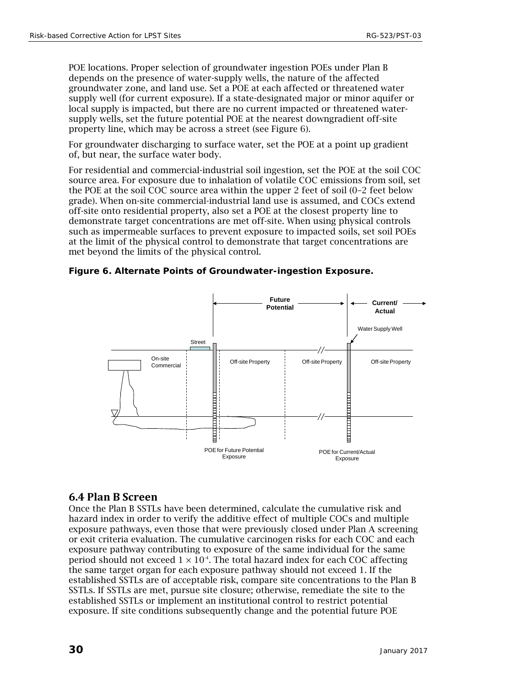POE locations. Proper selection of groundwater ingestion POEs under Plan B depends on the presence of water-supply wells, the nature of the affected groundwater zone, and land use. Set a POE at each affected or threatened water supply well (for current exposure). If a state-designated major or minor aquifer or local supply is impacted, but there are no current impacted or threatened watersupply wells, set the future potential POE at the nearest downgradient off-site property line, which may be across a street (see Figure 6).

For groundwater discharging to surface water, set the POE at a point up gradient of, but near, the surface water body.

For residential and commercial-industrial soil ingestion, set the POE at the soil COC source area. For exposure due to inhalation of volatile COC emissions from soil, set the POE at the soil COC source area within the upper 2 feet of soil (0–2 feet below grade). When on-site commercial-industrial land use is assumed, and COCs extend off-site onto residential property, also set a POE at the closest property line to demonstrate target concentrations are met off-site. When using physical controls such as impermeable surfaces to prevent exposure to impacted soils, set soil POEs at the limit of the physical control to demonstrate that target concentrations are met beyond the limits of the physical control.

<span id="page-29-1"></span>



### <span id="page-29-0"></span>**6.4 Plan B Screen**

Once the Plan B SSTLs have been determined, calculate the cumulative risk and hazard index in order to verify the additive effect of multiple COCs and multiple exposure pathways, even those that were previously closed under Plan A screening or exit criteria evaluation. The cumulative carcinogen risks for each COC and each exposure pathway contributing to exposure of the same individual for the same period should not exceed  $1 \times 10^{-4}$ . The total hazard index for each COC affecting the same target organ for each exposure pathway should not exceed 1. If the established SSTLs are of acceptable risk, compare site concentrations to the Plan B SSTLs. If SSTLs are met, pursue site closure; otherwise, remediate the site to the established SSTLs or implement an institutional control to restrict potential exposure. If site conditions subsequently change and the potential future POE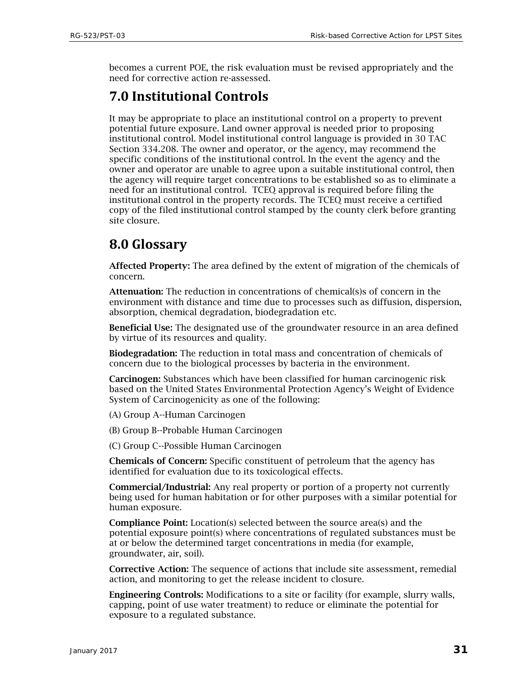becomes a current POE, the risk evaluation must be revised appropriately and the need for corrective action re-assessed.

# <span id="page-30-0"></span>**7.0 Institutional Controls**

It may be appropriate to place an institutional control on a property to prevent potential future exposure. Land owner approval is needed prior to proposing institutional control. Model institutional control language is provided in 30 TAC Section 334.208. The owner and operator, or the agency, may recommend the specific conditions of the institutional control. In the event the agency and the owner and operator are unable to agree upon a suitable institutional control, then the agency will require target concentrations to be established so as to eliminate a need for an institutional control. TCEQ approval is required before filing the institutional control in the property records. The TCEQ must receive a certified copy of the filed institutional control stamped by the county clerk before granting site closure.

# <span id="page-30-1"></span>**8.0 Glossary**

Affected Property: The area defined by the extent of migration of the chemicals of concern.

Attenuation: The reduction in concentrations of chemical(s)s of concern in the environment with distance and time due to processes such as diffusion, dispersion, absorption, chemical degradation, biodegradation etc.

Beneficial Use: The designated use of the groundwater resource in an area defined by virtue of its resources and quality.

Biodegradation: The reduction in total mass and concentration of chemicals of concern due to the biological processes by bacteria in the environment.

Carcinogen: Substances which have been classified for human carcinogenic risk based on the United States Environmental Protection Agency's Weight of Evidence System of Carcinogenicity as one of the following:

(A) Group A--Human Carcinogen

(B) Group B--Probable Human Carcinogen

(C) Group C--Possible Human Carcinogen

Chemicals of Concern: Specific constituent of petroleum that the agency has identified for evaluation due to its toxicological effects.

Commercial/Industrial: Any real property or portion of a property not currently being used for human habitation or for other purposes with a similar potential for human exposure.

Compliance Point: Location(s) selected between the source area(s) and the potential exposure point(s) where concentrations of regulated substances must be at or below the determined target concentrations in media (for example, groundwater, air, soil).

Corrective Action: The sequence of actions that include site assessment, remedial action, and monitoring to get the release incident to closure.

Engineering Controls: Modifications to a site or facility (for example, slurry walls, capping, point of use water treatment) to reduce or eliminate the potential for exposure to a regulated substance.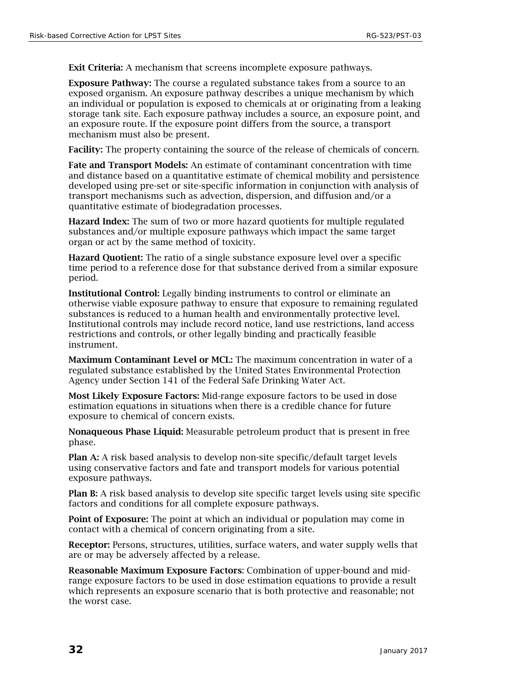Exit Criteria: A mechanism that screens incomplete exposure pathways.

Exposure Pathway: The course a regulated substance takes from a source to an exposed organism. An exposure pathway describes a unique mechanism by which an individual or population is exposed to chemicals at or originating from a leaking storage tank site. Each exposure pathway includes a source, an exposure point, and an exposure route. If the exposure point differs from the source, a transport mechanism must also be present.

Facility: The property containing the source of the release of chemicals of concern.

Fate and Transport Models: An estimate of contaminant concentration with time and distance based on a quantitative estimate of chemical mobility and persistence developed using pre-set or site-specific information in conjunction with analysis of transport mechanisms such as advection, dispersion, and diffusion and/or a quantitative estimate of biodegradation processes.

Hazard Index: The sum of two or more hazard quotients for multiple regulated substances and/or multiple exposure pathways which impact the same target organ or act by the same method of toxicity.

Hazard Quotient: The ratio of a single substance exposure level over a specific time period to a reference dose for that substance derived from a similar exposure period.

Institutional Control: Legally binding instruments to control or eliminate an otherwise viable exposure pathway to ensure that exposure to remaining regulated substances is reduced to a human health and environmentally protective level. Institutional controls may include record notice, land use restrictions, land access restrictions and controls, or other legally binding and practically feasible instrument.

Maximum Contaminant Level or MCL: The maximum concentration in water of a regulated substance established by the United States Environmental Protection Agency under Section 141 of the Federal Safe Drinking Water Act.

Most Likely Exposure Factors: Mid-range exposure factors to be used in dose estimation equations in situations when there is a credible chance for future exposure to chemical of concern exists.

Nonaqueous Phase Liquid: Measurable petroleum product that is present in free phase.

Plan A: A risk based analysis to develop non-site specific/default target levels using conservative factors and fate and transport models for various potential exposure pathways.

Plan B: A risk based analysis to develop site specific target levels using site specific factors and conditions for all complete exposure pathways.

Point of Exposure: The point at which an individual or population may come in contact with a chemical of concern originating from a site.

Receptor: Persons, structures, utilities, surface waters, and water supply wells that are or may be adversely affected by a release.

Reasonable Maximum Exposure Factors: Combination of upper-bound and midrange exposure factors to be used in dose estimation equations to provide a result which represents an exposure scenario that is both protective and reasonable; not the worst case.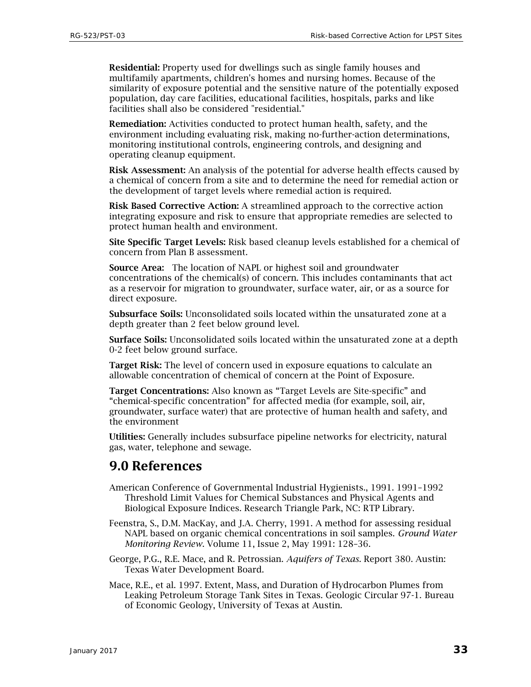Residential: Property used for dwellings such as single family houses and multifamily apartments, children's homes and nursing homes. Because of the similarity of exposure potential and the sensitive nature of the potentially exposed population, day care facilities, educational facilities, hospitals, parks and like facilities shall also be considered "residential."

Remediation: Activities conducted to protect human health, safety, and the environment including evaluating risk, making no-further-action determinations, monitoring institutional controls, engineering controls, and designing and operating cleanup equipment.

Risk Assessment: An analysis of the potential for adverse health effects caused by a chemical of concern from a site and to determine the need for remedial action or the development of target levels where remedial action is required.

Risk Based Corrective Action: A streamlined approach to the corrective action integrating exposure and risk to ensure that appropriate remedies are selected to protect human health and environment.

Site Specific Target Levels: Risk based cleanup levels established for a chemical of concern from Plan B assessment.

Source Area: The location of NAPL or highest soil and groundwater concentrations of the chemical(s) of concern. This includes contaminants that act as a reservoir for migration to groundwater, surface water, air, or as a source for direct exposure.

Subsurface Soils: Unconsolidated soils located within the unsaturated zone at a depth greater than 2 feet below ground level.

Surface Soils: Unconsolidated soils located within the unsaturated zone at a depth 0-2 feet below ground surface.

Target Risk: The level of concern used in exposure equations to calculate an allowable concentration of chemical of concern at the Point of Exposure.

Target Concentrations: Also known as "Target Levels are Site-specific" and "chemical-specific concentration" for affected media (for example, soil, air, groundwater, surface water) that are protective of human health and safety, and the environment

Utilities: Generally includes subsurface pipeline networks for electricity, natural gas, water, telephone and sewage.

# <span id="page-32-0"></span>**9.0 References**

- American Conference of Governmental Industrial Hygienists., 1991. 1991–1992 Threshold Limit Values for Chemical Substances and Physical Agents and Biological Exposure Indices. Research Triangle Park, NC: RTP Library.
- Feenstra, S., D.M. MacKay, and J.A. Cherry, 1991. A method for assessing residual NAPL based on organic chemical concentrations in soil samples. *Ground Water Monitoring Review*. Volume 11, Issue 2, May 1991: 128–36.
- George, P.G., R.E. Mace, and R. Petrossian. *Aquifers of Texas.* Report 380. Austin: Texas Water Development Board.
- Mace, R.E., et al. 1997. Extent, Mass, and Duration of Hydrocarbon Plumes from Leaking Petroleum Storage Tank Sites in Texas. Geologic Circular 97-1. Bureau of Economic Geology, University of Texas at Austin.